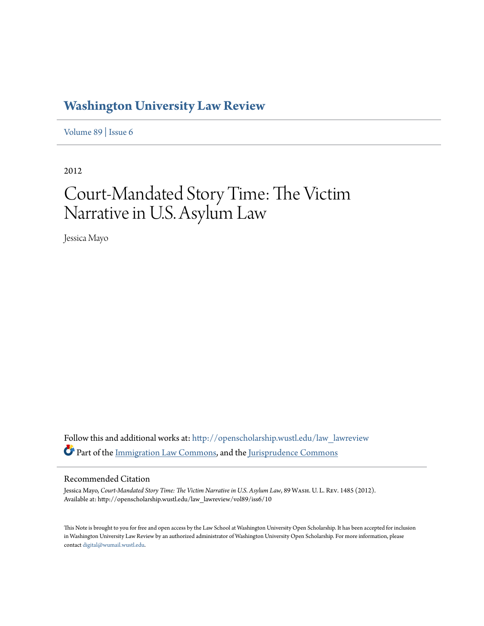## **[Washington University Law Review](http://openscholarship.wustl.edu/law_lawreview?utm_source=openscholarship.wustl.edu%2Flaw_lawreview%2Fvol89%2Fiss6%2F10&utm_medium=PDF&utm_campaign=PDFCoverPages)**

[Volume 89](http://openscholarship.wustl.edu/law_lawreview/vol89?utm_source=openscholarship.wustl.edu%2Flaw_lawreview%2Fvol89%2Fiss6%2F10&utm_medium=PDF&utm_campaign=PDFCoverPages) | [Issue 6](http://openscholarship.wustl.edu/law_lawreview/vol89/iss6?utm_source=openscholarship.wustl.edu%2Flaw_lawreview%2Fvol89%2Fiss6%2F10&utm_medium=PDF&utm_campaign=PDFCoverPages)

2012

# Court-Mandated Story Time: The Victim Narrative in U.S. Asylum Law

Jessica Mayo

Follow this and additional works at: [http://openscholarship.wustl.edu/law\\_lawreview](http://openscholarship.wustl.edu/law_lawreview?utm_source=openscholarship.wustl.edu%2Flaw_lawreview%2Fvol89%2Fiss6%2F10&utm_medium=PDF&utm_campaign=PDFCoverPages) Part of the [Immigration Law Commons,](http://network.bepress.com/hgg/discipline/604?utm_source=openscholarship.wustl.edu%2Flaw_lawreview%2Fvol89%2Fiss6%2F10&utm_medium=PDF&utm_campaign=PDFCoverPages) and the [Jurisprudence Commons](http://network.bepress.com/hgg/discipline/610?utm_source=openscholarship.wustl.edu%2Flaw_lawreview%2Fvol89%2Fiss6%2F10&utm_medium=PDF&utm_campaign=PDFCoverPages)

#### Recommended Citation

Jessica Mayo, *Court-Mandated Story Time: The Victim Narrative in U.S. Asylum Law*, 89 Wash. U. L. Rev. 1485 (2012). Available at: http://openscholarship.wustl.edu/law\_lawreview/vol89/iss6/10

This Note is brought to you for free and open access by the Law School at Washington University Open Scholarship. It has been accepted for inclusion in Washington University Law Review by an authorized administrator of Washington University Open Scholarship. For more information, please contact [digital@wumail.wustl.edu.](mailto:digital@wumail.wustl.edu)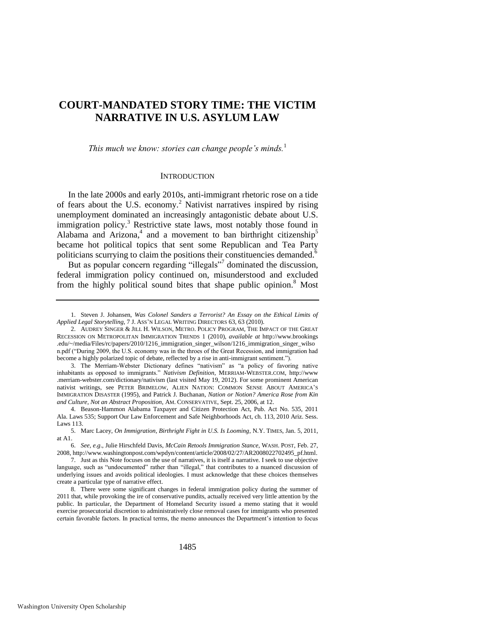### **COURT-MANDATED STORY TIME: THE VICTIM NARRATIVE IN U.S. ASYLUM LAW**

*This much we know: stories can change people"s minds.*<sup>1</sup>

#### <span id="page-1-1"></span><span id="page-1-0"></span>**INTRODUCTION**

In the late 2000s and early 2010s, anti-immigrant rhetoric rose on a tide of fears about the U.S. economy.<sup>2</sup> Nativist narratives inspired by rising unemployment dominated an increasingly antagonistic debate about U.S. immigration policy.<sup>3</sup> Restrictive state laws, most notably those found in Alabama and Arizona,<sup>4</sup> and a movement to ban birthright citizenship<sup>5</sup> became hot political topics that sent some Republican and Tea Party politicians scurrying to claim the positions their constituencies demanded.<sup>6</sup>

But as popular concern regarding "illegals"<sup>7</sup> dominated the discussion, federal immigration policy continued on, misunderstood and excluded from the highly political sound bites that shape public opinion.<sup>8</sup> Most

<sup>1.</sup> Steven J. Johansen, *Was Colonel Sanders a Terrorist? An Essay on the Ethical Limits of Applied Legal Storytelling*, 7 J. ASS'N LEGAL WRITING DIRECTORS 63, 63 (2010).

<sup>2.</sup> AUDREY SINGER & JILL H. WILSON, METRO. POLICY PROGRAM, THE IMPACT OF THE GREAT RECESSION ON METROPOLITAN IMMIGRATION TRENDS 1 (2010), *available at* http://www.brookings .edu/~/media/Files/rc/papers/2010/1216\_immigration\_singer\_wilson/1216\_immigration\_singer\_wilso n.pdf ("During 2009, the U.S. economy was in the throes of the Great Recession, and immigration had become a highly polarized topic of debate, reflected by a rise in anti-immigrant sentiment.").

<sup>3.</sup> The Merriam-Webster Dictionary defines "nativism" as "a policy of favoring native inhabitants as opposed to immigrants.‖ *Nativism Definition*, MERRIAM-WEBSTER.COM, http://www .merriam-webster.com/dictionary/nativism (last visited May 19, 2012). For some prominent American nativist writings, see PETER BRIMELOW, ALIEN NATION: COMMON SENSE ABOUT AMERICA'S IMMIGRATION DISASTER (1995), and Patrick J. Buchanan, *Nation or Notion? America Rose from Kin and Culture, Not an Abstract Proposition*, AM. CONSERVATIVE, Sept. 25, 2006, at 12.

<sup>4.</sup> Beason-Hammon Alabama Taxpayer and Citizen Protection Act, Pub. Act No. 535, 2011 Ala. Laws 535; Support Our Law Enforcement and Safe Neighborhoods Act, ch. 113, 2010 Ariz. Sess. Laws 113.

<sup>5.</sup> Marc Lacey, *On Immigration, Birthright Fight in U.S. Is Looming*, N.Y. TIMES, Jan. 5, 2011, at A1.

<sup>6.</sup> *See, e.g*., Julie Hirschfeld Davis, *McCain Retools Immigration Stance*, WASH. POST, Feb. 27, 2008, http://www.washingtonpost.com/wpdyn/content/article/2008/02/27/AR2008022702495\_pf.html.

<sup>7.</sup> Just as this Note focuses on the use of narratives, it is itself a narrative. I seek to use objective language, such as "undocumented" rather than "illegal," that contributes to a nuanced discussion of underlying issues and avoids political ideologies. I must acknowledge that these choices themselves create a particular type of narrative effect.

<sup>8.</sup> There were some significant changes in federal immigration policy during the summer of 2011 that, while provoking the ire of conservative pundits, actually received very little attention by the public. In particular, the Department of Homeland Security issued a memo stating that it would exercise prosecutorial discretion to administratively close removal cases for immigrants who presented certain favorable factors. In practical terms, the memo announces the Department's intention to focus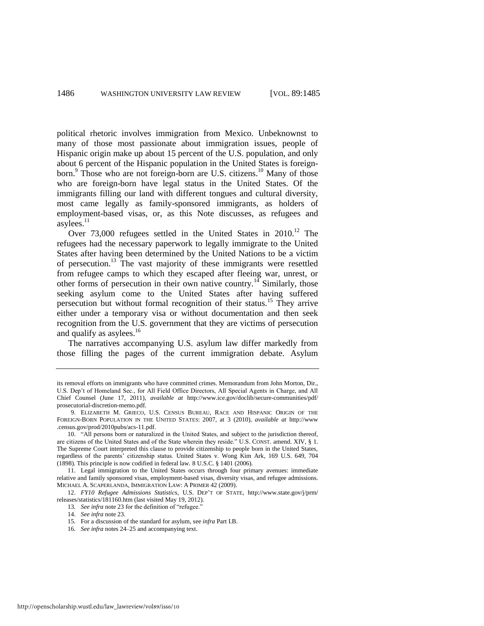political rhetoric involves immigration from Mexico. Unbeknownst to many of those most passionate about immigration issues, people of Hispanic origin make up about 15 percent of the U.S. population, and only about 6 percent of the Hispanic population in the United States is foreignborn.<sup>9</sup> Those who are not foreign-born are U.S. citizens.<sup>10</sup> Many of those who are foreign-born have legal status in the United States. Of the immigrants filling our land with different tongues and cultural diversity, most came legally as family-sponsored immigrants, as holders of employment-based visas, or, as this Note discusses, as refugees and asylees. $11$ 

Over 73,000 refugees settled in the United States in 2010.<sup>12</sup> The refugees had the necessary paperwork to legally immigrate to the United States after having been determined by the United Nations to be a victim of persecution.<sup>13</sup> The vast majority of these immigrants were resettled from refugee camps to which they escaped after fleeing war, unrest, or other forms of persecution in their own native country.<sup>14</sup> Similarly, those seeking asylum come to the United States after having suffered persecution but without formal recognition of their status.<sup>15</sup> They arrive either under a temporary visa or without documentation and then seek recognition from the U.S. government that they are victims of persecution and qualify as asylees.<sup>16</sup>

The narratives accompanying U.S. asylum law differ markedly from those filling the pages of the current immigration debate. Asylum

its removal efforts on immigrants who have committed crimes. Memorandum from John Morton, Dir., U.S. Dep't of Homeland Sec., for All Field Office Directors, All Special Agents in Charge, and All Chief Counsel (June 17, 2011), *available at* http://www.ice.gov/doclib/secure-communities/pdf/ prosecutorial-discretion-memo.pdf.

<sup>9.</sup> ELIZABETH M. GRIECO, U.S. CENSUS BUREAU, RACE AND HISPANIC ORIGIN OF THE FOREIGN-BORN POPULATION IN THE UNITED STATES: 2007, at 3 (2010), *available at* http://www .census.gov/prod/2010pubs/acs-11.pdf.

<sup>10. &</sup>quot;All persons born or naturalized in the United States, and subject to the jurisdiction thereof, are citizens of the United States and of the State wherein they reside." U.S. CONST. amend. XIV, § 1. The Supreme Court interpreted this clause to provide citizenship to people born in the United States, regardless of the parents' citizenship status. United States v. Wong Kim Ark, 169 U.S. 649, 704 (1898). This principle is now codified in federal law. 8 U.S.C. § 1401 (2006).

<sup>11.</sup> Legal immigration to the United States occurs through four primary avenues: immediate relative and family sponsored visas, employment-based visas, diversity visas, and refugee admissions. MICHAEL A. SCAPERLANDA, IMMIGRATION LAW: A PRIMER 42 (2009).

<sup>12.</sup> *FY10 Refugee Admissions Statistics*, U.S. DEP'T OF STATE, http://www.state.gov/j/prm/ releases/statistics/181160.htm (last visited May 19, 2012).

<sup>13.</sup> See infra not[e 23](#page-4-0) for the definition of "refugee."

<sup>14.</sup> *See infra* not[e 23.](#page-4-0) 

<sup>15</sup>*.* For a discussion of the standard for asylum, see *infra* Part I.B.

<sup>16</sup>*. See infra* notes [24–](#page-4-1)[25 a](#page-5-0)nd accompanying text.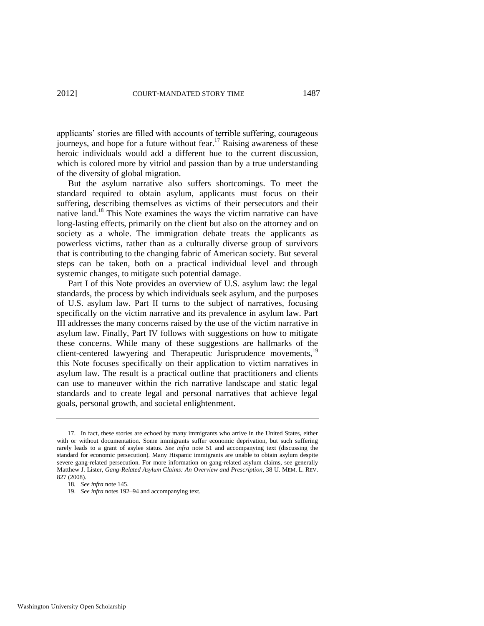applicants' stories are filled with accounts of terrible suffering, courageous journeys, and hope for a future without fear.<sup>17</sup> Raising awareness of these heroic individuals would add a different hue to the current discussion, which is colored more by vitriol and passion than by a true understanding of the diversity of global migration.

But the asylum narrative also suffers shortcomings. To meet the standard required to obtain asylum, applicants must focus on their suffering, describing themselves as victims of their persecutors and their native land.<sup>18</sup> This Note examines the ways the victim narrative can have long-lasting effects, primarily on the client but also on the attorney and on society as a whole. The immigration debate treats the applicants as powerless victims, rather than as a culturally diverse group of survivors that is contributing to the changing fabric of American society. But several steps can be taken, both on a practical individual level and through systemic changes, to mitigate such potential damage.

Part I of this Note provides an overview of U.S. asylum law: the legal standards, the process by which individuals seek asylum, and the purposes of U.S. asylum law. Part II turns to the subject of narratives, focusing specifically on the victim narrative and its prevalence in asylum law. Part III addresses the many concerns raised by the use of the victim narrative in asylum law. Finally, Part IV follows with suggestions on how to mitigate these concerns. While many of these suggestions are hallmarks of the client-centered lawyering and Therapeutic Jurisprudence movements,<sup>19</sup> this Note focuses specifically on their application to victim narratives in asylum law. The result is a practical outline that practitioners and clients can use to maneuver within the rich narrative landscape and static legal standards and to create legal and personal narratives that achieve legal goals, personal growth, and societal enlightenment.

<sup>17.</sup> In fact, these stories are echoed by many immigrants who arrive in the United States, either with or without documentation. Some immigrants suffer economic deprivation, but such suffering rarely leads to a grant of asylee status. *See infra* note [51](#page-8-0) and accompanying text (discussing the standard for economic persecution). Many Hispanic immigrants are unable to obtain asylum despite severe gang-related persecution. For more information on gang-related asylum claims, see generally Matthew J. Lister, *Gang-Related Asylum Claims: An Overview and Prescription*, 38 U. MEM. L. REV. 827 (2008).

<sup>18</sup>*. See infra* not[e 145.](#page-21-0) 

<sup>19.</sup> *See infra* notes [192–](#page-29-0)94 and accompanying text.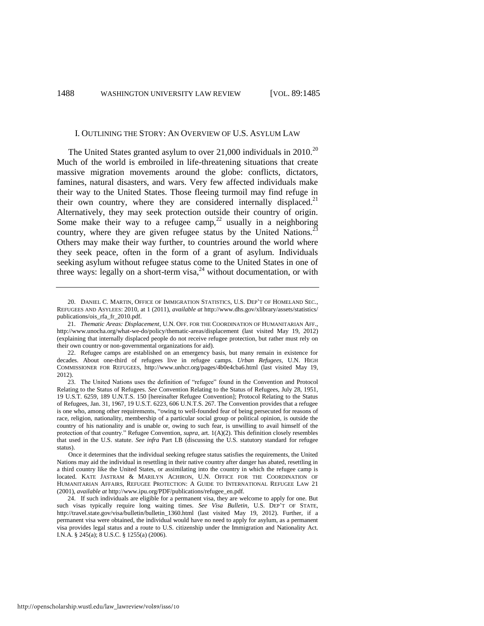#### <span id="page-4-0"></span>I. OUTLINING THE STORY: AN OVERVIEW OF U.S. ASYLUM LAW

The United States granted asylum to over  $21,000$  individuals in  $2010^{20}$ Much of the world is embroiled in life-threatening situations that create massive migration movements around the globe: conflicts, dictators, famines, natural disasters, and wars. Very few affected individuals make their way to the United States. Those fleeing turmoil may find refuge in their own country, where they are considered internally displaced.<sup>21</sup> Alternatively, they may seek protection outside their country of origin. Some make their way to a refugee camp,<sup>22</sup> usually in a neighboring country, where they are given refugee status by the United Nations.<sup>23</sup> Others may make their way further, to countries around the world where they seek peace, often in the form of a grant of asylum. Individuals seeking asylum without refugee status come to the United States in one of three ways: legally on a short-term visa,<sup>24</sup> without documentation, or with

<span id="page-4-1"></span><sup>20.</sup> DANIEL C. MARTIN, OFFICE OF IMMIGRATION STATISTICS, U.S. DEP'T OF HOMELAND SEC., REFUGEES AND ASYLEES: 2010, at 1 (2011), *available at* http://www.dhs.gov/xlibrary/assets/statistics/ publications/ois\_rfa\_fr\_2010.pdf.

<sup>21.</sup> *Thematic Areas: Displacement*, U.N. OFF. FOR THE COORDINATION OF HUMANITARIAN AFF., http://www.unocha.org/what-we-do/policy/thematic-areas/displacement (last visited May 19, 2012) (explaining that internally displaced people do not receive refugee protection, but rather must rely on their own country or non-governmental organizations for aid).

<sup>22.</sup> Refugee camps are established on an emergency basis, but many remain in existence for decades. About one-third of refugees live in refugee camps. *Urban Refugees*, U.N. HIGH COMMISSIONER FOR REFUGEES, http://www.unhcr.org/pages/4b0e4cba6.html (last visited May 19, 2012).

<sup>23.</sup> The United Nations uses the definition of "refugee" found in the Convention and Protocol Relating to the Status of Refugees. *See* Convention Relating to the Status of Refugees, July 28, 1951, 19 U.S.T. 6259, 189 U.N.T.S. 150 [hereinafter Refugee Convention]; Protocol Relating to the Status of Refugees, Jan. 31, 1967, 19 U.S.T. 6223, 606 U.N.T.S. 267. The Convention provides that a refugee is one who, among other requirements, "owing to well-founded fear of being persecuted for reasons of race, religion, nationality, membership of a particular social group or political opinion, is outside the country of his nationality and is unable or, owing to such fear, is unwilling to avail himself of the protection of that country." Refugee Convention, *supra*, art. 1(A)(2). This definition closely resembles that used in the U.S. statute. *See infra* Part I.B (discussing the U.S. statutory standard for refugee status).

Once it determines that the individual seeking refugee status satisfies the requirements, the United Nations may aid the individual in resettling in their native country after danger has abated, resettling in a third country like the United States, or assimilating into the country in which the refugee camp is located. KATE JASTRAM & MARILYN ACHIRON, U.N. OFFICE FOR THE COORDINATION OF HUMANITARIAN AFFAIRS, REFUGEE PROTECTION: A GUIDE TO INTERNATIONAL REFUGEE LAW 21 (2001), *available at* http://www.ipu.org/PDF/publications/refugee\_en.pdf.

<sup>24.</sup> If such individuals are eligible for a permanent visa, they are welcome to apply for one. But such visas typically require long waiting times. *See Visa Bulletin*, U.S. DEP'T OF STATE, http://travel.state.gov/visa/bulletin/bulletin\_1360.html (last visited May 19, 2012). Further, if a permanent visa were obtained, the individual would have no need to apply for asylum, as a permanent visa provides legal status and a route to U.S. citizenship under the Immigration and Nationality Act. I.N.A. § 245(a); 8 U.S.C. § 1255(a) (2006).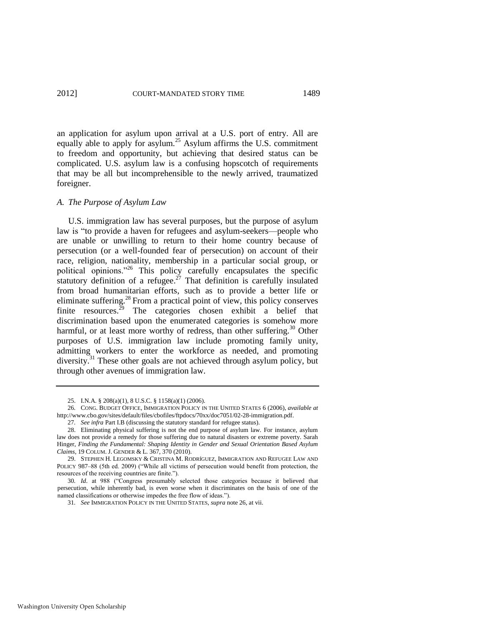<span id="page-5-0"></span>an application for asylum upon arrival at a U.S. port of entry. All are equally able to apply for asylum.<sup>25</sup> Asylum affirms the U.S. commitment to freedom and opportunity, but achieving that desired status can be complicated. U.S. asylum law is a confusing hopscotch of requirements that may be all but incomprehensible to the newly arrived, traumatized foreigner.

#### *A. The Purpose of Asylum Law*

<span id="page-5-2"></span><span id="page-5-1"></span>U.S. immigration law has several purposes, but the purpose of asylum law is "to provide a haven for refugees and asylum-seekers—people who are unable or unwilling to return to their home country because of persecution (or a well-founded fear of persecution) on account of their race, religion, nationality, membership in a particular social group, or political opinions."<sup>26</sup> This policy carefully encapsulates the specific statutory definition of a refugee.<sup>27</sup> That definition is carefully insulated from broad humanitarian efforts, such as to provide a better life or eliminate suffering.<sup>28</sup> From a practical point of view, this policy conserves finite resources.<sup>29</sup> The categories chosen exhibit a belief that discrimination based upon the enumerated categories is somehow more harmful, or at least more worthy of redress, than other suffering.<sup>30</sup> Other purposes of U.S. immigration law include promoting family unity, admitting workers to enter the workforce as needed, and promoting diversity.<sup>31</sup> These other goals are not achieved through asylum policy, but through other avenues of immigration law.

<sup>25.</sup> I.N.A. § 208(a)(1), 8 U.S.C. § 1158(a)(1) (2006).

<sup>26</sup>*.* CONG. BUDGET OFFICE, IMMIGRATION POLICY IN THE UNITED STATES 6 (2006), *available at*  http://www.cbo.gov/sites/default/files/cbofiles/ftpdocs/70xx/doc7051/02-28-immigration.pdf.

<sup>27</sup>*. See infra* Part I.B (discussing the statutory standard for refugee status).

<sup>28.</sup> Eliminating physical suffering is not the end purpose of asylum law. For instance, asylum law does not provide a remedy for those suffering due to natural disasters or extreme poverty. Sarah Hinger, *Finding the Fundamental: Shaping Identity in Gender and Sexual Orientation Based Asylum Claims*, 19 COLUM. J. GENDER & L. 367, 370 (2010).

<sup>29.</sup> STEPHEN H. LEGOMSKY & CRISTINA M. RODRÍGUEZ, IMMIGRATION AND REFUGEE LAW AND POLICY 987-88 (5th ed. 2009) ("While all victims of persecution would benefit from protection, the resources of the receiving countries are finite.").

<sup>30.</sup> Id. at 988 ("Congress presumably selected those categories because it believed that persecution, while inherently bad, is even worse when it discriminates on the basis of one of the named classifications or otherwise impedes the free flow of ideas.").

<sup>31</sup>*. See* IMMIGRATION POLICY IN THE UNITED STATES, *supra* not[e 26,](#page-5-1) at vii.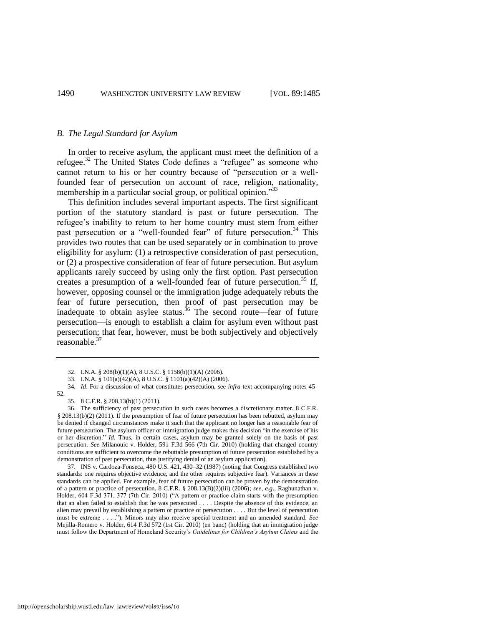#### *B. The Legal Standard for Asylum*

In order to receive asylum, the applicant must meet the definition of a refugee.<sup>32</sup> The United States Code defines a "refugee" as someone who cannot return to his or her country because of "persecution or a wellfounded fear of persecution on account of race, religion, nationality, membership in a particular social group, or political opinion.<sup>33</sup>

This definition includes several important aspects. The first significant portion of the statutory standard is past or future persecution. The refugee's inability to return to her home country must stem from either past persecution or a "well-founded fear" of future persecution.<sup>34</sup> This provides two routes that can be used separately or in combination to prove eligibility for asylum: (1) a retrospective consideration of past persecution, or (2) a prospective consideration of fear of future persecution. But asylum applicants rarely succeed by using only the first option. Past persecution creates a presumption of a well-founded fear of future persecution.<sup>35</sup> If, however, opposing counsel or the immigration judge adequately rebuts the fear of future persecution, then proof of past persecution may be inadequate to obtain asylee status.<sup>36</sup> The second route—fear of future persecution—is enough to establish a claim for asylum even without past persecution; that fear, however, must be both subjectively and objectively  $reasonable.<sup>37</sup>$ 

35. 8 C.F.R. § 208.13(b)(1) (2011).

36. The sufficiency of past persecution in such cases becomes a discretionary matter. 8 C.F.R. § 208.13(b)(2) (2011). If the presumption of fear of future persecution has been rebutted, asylum may be denied if changed circumstances make it such that the applicant no longer has a reasonable fear of future persecution. The asylum officer or immigration judge makes this decision "in the exercise of his or her discretion." *Id*. Thus, in certain cases, asylum may be granted solely on the basis of past persecution. *See* Milanouic v. Holder, 591 F.3d 566 (7th Cir. 2010) (holding that changed country conditions are sufficient to overcome the rebuttable presumption of future persecution established by a demonstration of past persecution, thus justifying denial of an asylum application).

37*.* INS v. Cardoza-Fonseca, 480 U.S. 421, 430–32 (1987) (noting that Congress established two standards: one requires objective evidence, and the other requires subjective fear). Variances in these standards can be applied. For example, fear of future persecution can be proven by the demonstration of a pattern or practice of persecution. 8 C.F.R. § 208.13(B)(2)(iii) (2006); *see, e.g*., Raghunathan v. Holder, 604 F.3d 371, 377 (7th Cir. 2010) ("A pattern or practice claim starts with the presumption that an alien failed to establish that he was persecuted . . . . Despite the absence of this evidence, an alien may prevail by establishing a pattern or practice of persecution . . . . But the level of persecution must be extreme . . . ."). Minors may also receive special treatment and an amended standard. *See* Mejilla-Romero v. Holder, 614 F.3d 572 (1st Cir. 2010) (en banc) (holding that an immigration judge must follow the Department of Homeland Security's *Guidelines for Children"s Asylum Claims* and the

<sup>32.</sup> I.N.A. § 208(b)(1)(A), 8 U.S.C. § 1158(b)(1)(A) (2006).

<sup>33.</sup> I.N.A. § 101(a)(42)(A), 8 U.S.C. § 1101(a)(42)(A) (2006).

<sup>34</sup>*. Id*. For a discussion of what constitutes persecution, see *infra* text accompanying notes [45–](#page-7-0) [52.](#page-8-1)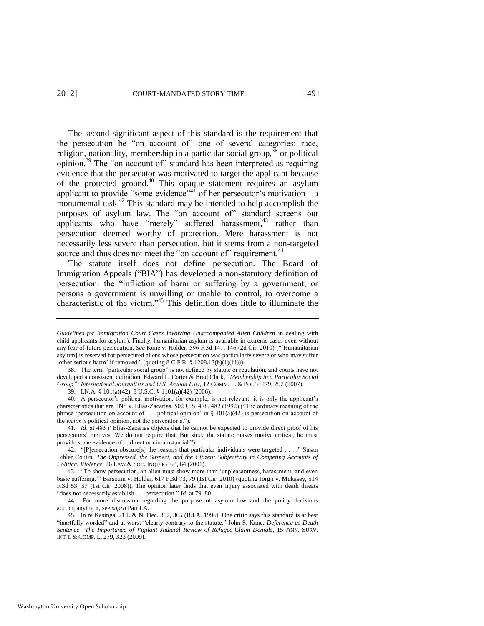<span id="page-7-4"></span><span id="page-7-2"></span>The second significant aspect of this standard is the requirement that the persecution be "on account of" one of several categories: race, religion, nationality, membership in a particular social group, $38$  or political opinion.<sup>39</sup> The "on account of" standard has been interpreted as requiring evidence that the persecutor was motivated to target the applicant because of the protected ground.<sup>40</sup> This opaque statement requires an asylum applicant to provide "some evidence"<sup>41</sup> of her persecutor's motivation—a monumental task. $42$  This standard may be intended to help accomplish the purposes of asylum law. The "on account of" standard screens out applicants who have "merely" suffered harassment,<sup>43</sup> rather than persecution deemed worthy of protection. Mere harassment is not necessarily less severe than persecution, but it stems from a non-targeted source and thus does not meet the "on account of" requirement.<sup>44</sup>

<span id="page-7-3"></span><span id="page-7-1"></span>The statute itself does not define persecution. The Board of Immigration Appeals ("BIA") has developed a non-statutory definition of persecution: the "infliction of harm or suffering by a government, or persons a government is unwilling or unable to control, to overcome a characteristic of the victim.<sup>45</sup> This definition does little to illuminate the

39. I.N.A. § 101(a)(42), 8 U.S.C. § 1101(a)(42) (2006).

40*.* A persecutor's political motivation, for example, is not relevant; it is only the applicant's characteristics that are. INS v. Elias-Zacarias, 502 U.S. 478, 482 (1992) ("The ordinary meaning of the phrase 'persecution on account of . . . political opinion' in  $\S 101(a)(42)$  is persecution on account of the *victim's* political opinion, not the persecutor's.").

41. *Id.* at 483 ("Elias-Zacarias objects that he cannot be expected to provide direct proof of his persecutors' motives. We do not require that. But since the statute makes motive critical, he must provide *some* evidence of it, direct or circumstantial.").

42. "[P]ersecution obscure[s] the reasons that particular individuals were targeted  $\dots$  ." Susan Bibler Coutin, *The Oppressed, the Suspect, and the Citizen: Subjectivity in Competing Accounts of Political Violence*, 26 LAW & SOC. INQUIRY 63, 64 (2001).

43. "To show persecution, an alien must show more than 'unpleasantness, harassment, and even basic suffering."" Barsoum v. Holder, 617 F.3d 73, 79 (1st Cir. 2010) (quoting Jorgji v. Mukasey, 514 F.3d 53, 57 (1st Cir. 2008)). The opinion later finds that even injury associated with death threats "does not necessarily establish . . . persecution." *Id.* at 79-80.

44*.* For more discussion regarding the purpose of asylum law and the policy decisions accompanying it, see *supra* Part I.A.

45*.* In re Kasinga, 21 I. & N. Dec. 357, 365 (B.I.A. 1996). One critic says this standard is at best "inartfully worded" and at worst "clearly contrary to the statute." John S. Kane, *Deference as Death Sentence—The Importance of Vigilant Judicial Review of Refugee-Claim Denials*, 15 ANN. SURV. INT'L & COMP. L. 279, 323 (2009).

<span id="page-7-0"></span>*Guidelines for Immigration Court Cases Involving Unaccompanied Alien Children* in dealing with child applicants for asylum). Finally, humanitarian asylum is available in extreme cases even without any fear of future persecution. *See* Kone v. Holder, 596 F.3d 141, 146 (2d Cir. 2010) ("Humanitarian asylum] is reserved for persecuted aliens whose persecution was particularly severe or who may suffer 'other serious harm' if removed." (quoting  $8$  C.F.R.  $\S$  1208.13(b)(1)(iii))).

<sup>38.</sup> The term "particular social group" is not defined by statute or regulation, and courts have not developed a consistent definition. Edward L. Carter & Brad Clark, "Membership in a Particular Social *Group": International Journalists and U.S. Asylum Law*, 12 COMM. L. & POL'Y 279, 292 (2007).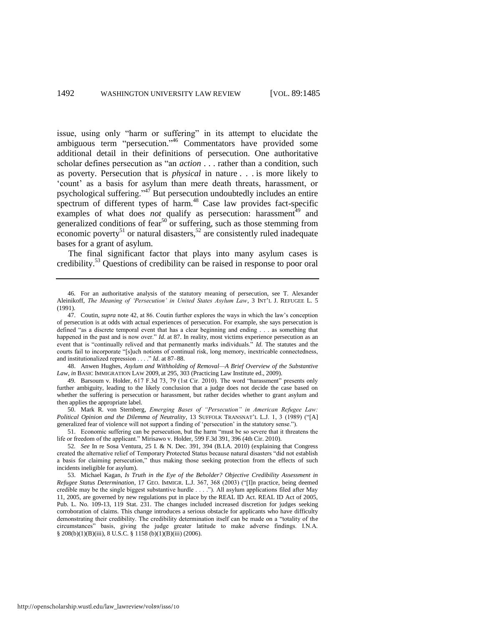issue, using only "harm or suffering" in its attempt to elucidate the ambiguous term "persecution."<sup>46</sup> Commentators have provided some additional detail in their definitions of persecution. One authoritative scholar defines persecution as "an *action* . . . rather than a condition, such as poverty. Persecution that is *physical* in nature . . . is more likely to ‗count' as a basis for asylum than mere death threats, harassment, or psychological suffering.<sup> $347$ </sup> But persecution undoubtedly includes an entire spectrum of different types of harm.<sup>48</sup> Case law provides fact-specific examples of what does *not* qualify as persecution: harassment $^{49}$  and generalized conditions of fear<sup>50</sup> or suffering, such as those stemming from economic poverty<sup>51</sup> or natural disasters,<sup>52</sup> are consistently ruled inadequate bases for a grant of asylum.

<span id="page-8-2"></span><span id="page-8-1"></span><span id="page-8-0"></span>The final significant factor that plays into many asylum cases is credibility.<sup>53</sup> Questions of credibility can be raised in response to poor oral

48. Anwen Hughes, *Asylum and Withholding of Removal—A Brief Overview of the Substantive Law*, *in* BASIC IMMIGRATION LAW 2009, at 295, 303 (Practicing Law Institute ed., 2009).

49. Barsoum v. Holder, 617 F.3d 73, 79 (1st Cir. 2010). The word "harassment" presents only further ambiguity, leading to the likely conclusion that a judge does not decide the case based on whether the suffering is persecution or harassment, but rather decides whether to grant asylum and then applies the appropriate label.

50. Mark R. von Sternberg, *Emerging Bases of "Persecution" in American Refugee Law: Political Opinion and the Dilemma of Neutrality*, 13 SUFFOLK TRANSNAT'L L.J. 1, 3 (1989) ("[A] generalized fear of violence will not support a finding of 'persecution' in the statutory sense.").

51. Economic suffering can be persecution, but the harm "must be so severe that it threatens the life or freedom of the applicant." Mirisawo v. Holder, 599 F.3d 391, 396 (4th Cir. 2010).

<sup>46</sup>*.* For an authoritative analysis of the statutory meaning of persecution, see T. Alexander Aleinikoff, *The Meaning of "Persecution" in United States Asylum Law*, 3 INT'L J. REFUGEE L. 5 (1991).

<sup>47.</sup> Coutin, *supra* note [42,](#page-7-1) at 86. Coutin further explores the ways in which the law's conception of persecution is at odds with actual experiences of persecution. For example, she says persecution is defined "as a discrete temporal event that has a clear beginning and ending . . . as something that happened in the past and is now over." *Id.* at 87. In reality, most victims experience persecution as an event that is "continually relived and that permanently marks individuals." *Id*. The statutes and the courts fail to incorporate "[s]uch notions of continual risk, long memory, inextricable connectedness, and institutionalized repression . . . .<sup>"</sup> *Id*. at 87–88.

<sup>52</sup>*. See* In re Sosa Ventura, 25 I. & N. Dec. 391, 394 (B.I.A. 2010) (explaining that Congress created the alternative relief of Temporary Protected Status because natural disasters "did not establish a basis for claiming persecution," thus making those seeking protection from the effects of such incidents ineligible for asylum).

<sup>53.</sup> Michael Kagan, *Is Truth in the Eye of the Beholder? Objective Credibility Assessment in Refugee Status Determination, 17 GEO. IMMIGR. L.J. 367, 368 (2003)* ("[I]n practice, being deemed credible may be the single biggest substantive hurdle . . . .‖). All asylum applications filed after May 11, 2005, are governed by new regulations put in place by the REAL ID Act. REAL ID Act of 2005, Pub. L. No. 109-13, 119 Stat. 231. The changes included increased discretion for judges seeking corroboration of claims. This change introduces a serious obstacle for applicants who have difficulty demonstrating their credibility. The credibility determination itself can be made on a "totality of the circumstances‖ basis, giving the judge greater latitude to make adverse findings. I.N.A. § 208(b)(1)(B)(iii), 8 U.S.C. § 1158 (b)(1)(B)(iii) (2006).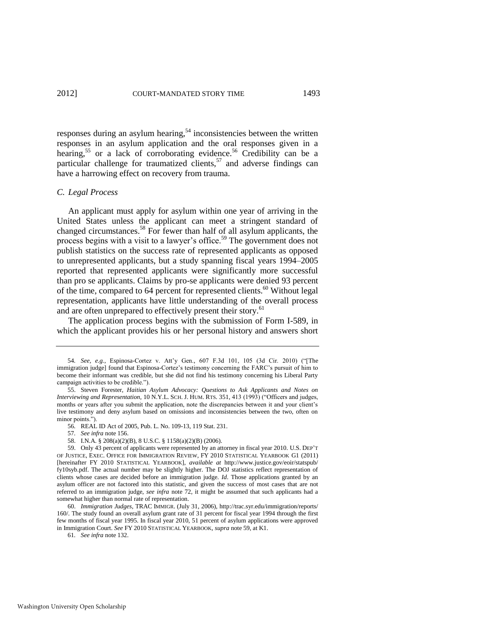<span id="page-9-1"></span>responses during an asylum hearing,<sup>54</sup> inconsistencies between the written responses in an asylum application and the oral responses given in a hearing,<sup>55</sup> or a lack of corroborating evidence.<sup>56</sup> Credibility can be a particular challenge for traumatized clients,  $57$  and adverse findings can have a harrowing effect on recovery from trauma.

#### *C. Legal Process*

<span id="page-9-0"></span>An applicant must apply for asylum within one year of arriving in the United States unless the applicant can meet a stringent standard of changed circumstances.<sup>58</sup> For fewer than half of all asylum applicants, the process begins with a visit to a lawyer's office.<sup>59</sup> The government does not publish statistics on the success rate of represented applicants as opposed to unrepresented applicants, but a study spanning fiscal years 1994–2005 reported that represented applicants were significantly more successful than pro se applicants. Claims by pro-se applicants were denied 93 percent of the time, compared to 64 percent for represented clients.<sup>60</sup> Without legal representation, applicants have little understanding of the overall process and are often unprepared to effectively present their story.<sup>61</sup>

The application process begins with the submission of Form I-589, in which the applicant provides his or her personal history and answers short

- 57*. See infra* not[e 156.](#page-23-0)
- 58. I.N.A. § 208(a)(2)(B), 8 U.S.C. § 1158(a)(2)(B) (2006).

<sup>54.</sup> See, e.g., Espinosa-Cortez v. Att'y Gen., 607 F.3d 101, 105 (3d Cir. 2010) ("[The immigration judge] found that Espinosa-Cortez's testimony concerning the FARC's pursuit of him to become their informant was credible, but she did not find his testimony concerning his Liberal Party campaign activities to be credible.").

<sup>55.</sup> Steven Forester, *Haitian Asylum Advocacy: Questions to Ask Applicants and Notes on Interviewing and Representation, 10 N.Y.L. SCH. J. HUM. RTS. 351, 413 (1993) ("Officers and judges,* months or years after you submit the application, note the discrepancies between it and your client's live testimony and deny asylum based on omissions and inconsistencies between the two, often on minor points.").

<sup>56</sup>*.* REAL ID Act of 2005, Pub. L. No. 109-13, 119 Stat. 231.

<sup>59.</sup> Only 43 percent of applicants were represented by an attorney in fiscal year 2010. U.S. DEP'T OF JUSTICE, EXEC. OFFICE FOR IMMIGRATION REVIEW, FY 2010 STATISTICAL YEARBOOK G1 (2011) [hereinafter FY 2010 STATISTICAL YEARBOOK], *available at* http://www.justice.gov/eoir/statspub/ fy10syb.pdf. The actual number may be slightly higher. The DOJ statistics reflect representation of clients whose cases are decided before an immigration judge. *Id*. Those applications granted by an asylum officer are not factored into this statistic, and given the success of most cases that are not referred to an immigration judge, *see infra* note [72,](#page-10-0) it might be assumed that such applicants had a somewhat higher than normal rate of representation.

<sup>60.</sup> *Immigration Judges*, TRAC IMMIGR. (July 31, 2006), http://trac.syr.edu/immigration/reports/ 160/. The study found an overall asylum grant rate of 31 percent for fiscal year 1994 through the first few months of fiscal year 1995. In fiscal year 2010, 51 percent of asylum applications were approved in Immigration Court. *See* FY 2010 STATISTICAL YEARBOOK*, supra* not[e 59,](#page-9-0) at K1.

<sup>61</sup>*. See infra* not[e 132.](#page-20-0)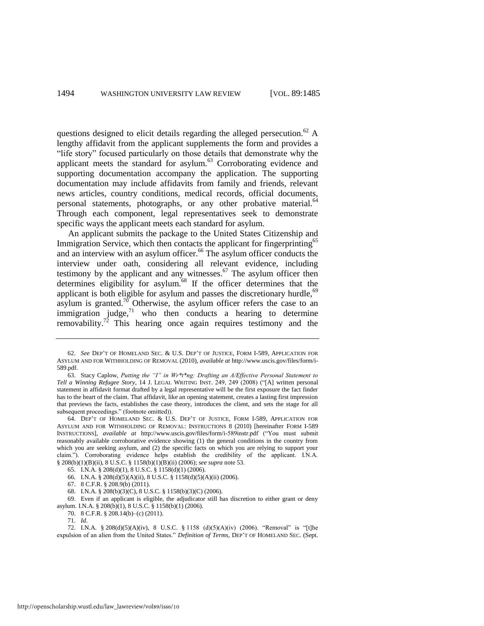<span id="page-10-1"></span>questions designed to elicit details regarding the alleged persecution.<sup>62</sup> A lengthy affidavit from the applicant supplements the form and provides a "life story" focused particularly on those details that demonstrate why the applicant meets the standard for asylum.<sup>63</sup> Corroborating evidence and supporting documentation accompany the application. The supporting documentation may include affidavits from family and friends, relevant news articles, country conditions, medical records, official documents, personal statements, photographs, or any other probative material.<sup>64</sup> Through each component, legal representatives seek to demonstrate specific ways the applicant meets each standard for asylum.

An applicant submits the package to the United States Citizenship and Immigration Service, which then contacts the applicant for fingerprinting<sup>65</sup> and an interview with an asylum officer.<sup>66</sup> The asylum officer conducts the interview under oath, considering all relevant evidence, including testimony by the applicant and any witnesses.<sup>67</sup> The asylum officer then determines eligibility for asylum.<sup>68</sup> If the officer determines that the applicant is both eligible for asylum and passes the discretionary hurdle,<sup>69</sup> asylum is granted.<sup>70</sup> Otherwise, the asylum officer refers the case to an immigration judge, $71$  who then conducts a hearing to determine removability.<sup>72</sup> This hearing once again requires testimony and the

67. 8 C.F.R. § 208.9(b) (2011).

<span id="page-10-0"></span><sup>62.</sup> *See* DEP'T OF HOMELAND SEC. & U.S. DEP'T OF JUSTICE, FORM I-589, APPLICATION FOR ASYLUM AND FOR WITHHOLDING OF REMOVAL (2010), *available at* http://www.uscis.gov/files/form/i-589.pdf.

<sup>63.</sup> Stacy Caplow, *Putting the "I" in Wr\*t\*ng: Drafting an A/Effective Personal Statement to Tell a Winning Refugee Story*, 14 J. LEGAL WRITING INST. 249, 249 (2008) ("[A] written personal statement in affidavit format drafted by a legal representative will be the first exposure the fact finder has to the heart of the claim. That affidavit, like an opening statement, creates a lasting first impression that previews the facts, establishes the case theory, introduces the client, and sets the stage for all subsequent proceedings." (footnote omitted)).

<sup>64.</sup> DEP'T OF HOMELAND SEC. & U.S. DEP'T OF JUSTICE, FORM I-589, APPLICATION FOR ASYLUM AND FOR WITHHOLDING OF REMOVAL: INSTRUCTIONS 8 (2010) [hereinafter FORM I-589 INSTRUCTIONS], *available at* http://www.uscis.gov/files/form/i-589instr.pdf ("You must submit reasonably available corroborative evidence showing (1) the general conditions in the country from which you are seeking asylum, and (2) the specific facts on which you are relying to support your claim."). Corroborating evidence helps establish the credibility of the applicant. I.N.A. § 208(b)(1)(B)(ii), 8 U.S.C. § 1158(b)(1)(B)(ii) (2006); *see supra* not[e 53.](#page-8-2) 

<sup>65.</sup> I.N.A. § 208(d)(1), 8 U.S.C. § 1158(d)(1) (2006).

<sup>66</sup>*.* I.N.A. § 208(d)(5)(A)(ii), 8 U.S.C. § 1158(d)(5)(A)(ii) (2006).

<sup>68.</sup> I.N.A. § 208(b)(3)(C), 8 U.S.C. § 1158(b)(3)(C) (2006).

<sup>69.</sup> Even if an applicant is eligible, the adjudicator still has discretion to either grant or deny asylum. I.N.A. § 208(b)(1), 8 U.S.C. § 1158(b)(1) (2006).

<sup>70. 8</sup> C.F.R. § 208.14(b)–(c) (2011).

<sup>71</sup>*. Id*.

<sup>72.</sup> I.N.A. § 208(d)(5)(A)(iv), 8 U.S.C. § 1158 (d)(5)(A)(iv) (2006). "Removal" is "[t]he expulsion of an alien from the United States." *Definition of Terms*, DEP'T OF HOMELAND SEC. (Sept.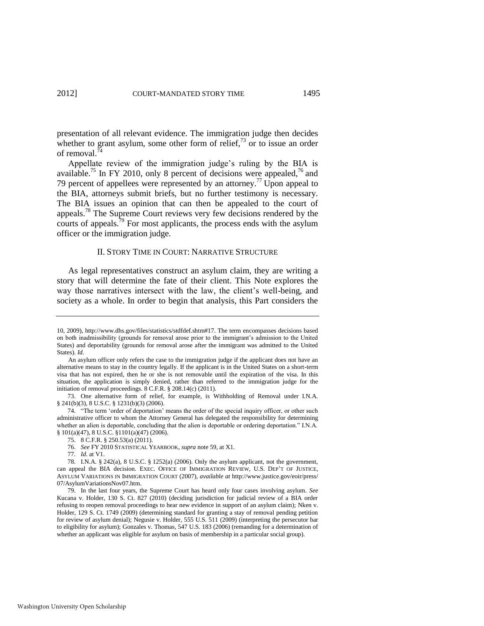presentation of all relevant evidence. The immigration judge then decides whether to grant asylum, some other form of relief, $^{73}$  or to issue an order of removal.<sup>74</sup>

Appellate review of the immigration judge's ruling by the BIA is available.<sup>75</sup> In FY 2010, only 8 percent of decisions were appealed,<sup>76</sup> and 79 percent of appellees were represented by an attorney.<sup>77</sup> Upon appeal to the BIA, attorneys submit briefs, but no further testimony is necessary. The BIA issues an opinion that can then be appealed to the court of appeals.<sup>78</sup> The Supreme Court reviews very few decisions rendered by the courts of appeals.<sup>79</sup> For most applicants, the process ends with the asylum officer or the immigration judge.

#### II. STORY TIME IN COURT: NARRATIVE STRUCTURE

As legal representatives construct an asylum claim, they are writing a story that will determine the fate of their client. This Note explores the way those narratives intersect with the law, the client's well-being, and society as a whole. In order to begin that analysis, this Part considers the

<sup>10, 2009),</sup> http://www.dhs.gov/files/statistics/stdfdef.shtm#17. The term encompasses decisions based on both inadmissibility (grounds for removal arose prior to the immigrant's admission to the United States) and deportability (grounds for removal arose after the immigrant was admitted to the United States). *Id*.

An asylum officer only refers the case to the immigration judge if the applicant does not have an alternative means to stay in the country legally. If the applicant is in the United States on a short-term visa that has not expired, then he or she is not removable until the expiration of the visa. In this situation, the application is simply denied, rather than referred to the immigration judge for the initiation of removal proceedings. 8 C.F.R. § 208.14(c) (2011).

<sup>73.</sup> One alternative form of relief, for example, is Withholding of Removal under I.N.A. § 241(b)(3), 8 U.S.C. § 1231(b)(3) (2006).

<sup>74. &</sup>quot;The term 'order of deportation' means the order of the special inquiry officer, or other such administrative officer to whom the Attorney General has delegated the responsibility for determining whether an alien is deportable, concluding that the alien is deportable or ordering deportation." I.N.A. § 101(a)(47), 8 U.S.C. §1101(a)(47) (2006).

<sup>75. 8</sup> C.F.R. § 250.53(a) (2011).

<sup>76.</sup> *See* FY 2010 STATISTICAL YEARBOOK, *supra* not[e 59,](#page-9-0) at X1.

<sup>77</sup>*. Id*. at V1.

<sup>78.</sup> I.N.A. § 242(a), 8 U.S.C. § 1252(a) (2006). Only the asylum applicant, not the government, can appeal the BIA decision. EXEC. OFFICE OF IMMIGRATION REVIEW, U.S. DEP'T OF JUSTICE, ASYLUM VARIATIONS IN IMMIGRATION COURT (2007), *available at* http://www.justice.gov/eoir/press/ 07/AsylumVariationsNov07.htm.

<sup>79.</sup> In the last four years, the Supreme Court has heard only four cases involving asylum. *See* Kucana v. Holder, 130 S. Ct. 827 (2010) (deciding jurisdiction for judicial review of a BIA order refusing to reopen removal proceedings to hear new evidence in support of an asylum claim); Nken v. Holder, 129 S. Ct. 1749 (2009) (determining standard for granting a stay of removal pending petition for review of asylum denial); Negusie v. Holder, 555 U.S. 511 (2009) (interpreting the persecutor bar to eligibility for asylum); Gonzales v. Thomas, 547 U.S. 183 (2006) (remanding for a determination of whether an applicant was eligible for asylum on basis of membership in a particular social group).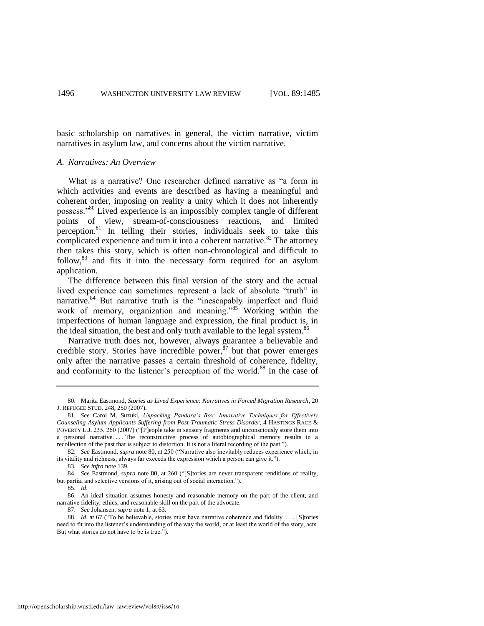basic scholarship on narratives in general, the victim narrative, victim narratives in asylum law, and concerns about the victim narrative.

#### *A. Narratives: An Overview*

<span id="page-12-1"></span><span id="page-12-0"></span>What is a narrative? One researcher defined narrative as "a form in which activities and events are described as having a meaningful and coherent order, imposing on reality a unity which it does not inherently possess.<sup>80</sup> Lived experience is an impossibly complex tangle of different points of view, stream-of-consciousness reactions, and limited perception.<sup>81</sup> In telling their stories, individuals seek to take this complicated experience and turn it into a coherent narrative.<sup>82</sup> The attorney then takes this story, which is often non-chronological and difficult to follow,<sup>83</sup> and fits it into the necessary form required for an asylum application.

The difference between this final version of the story and the actual lived experience can sometimes represent a lack of absolute "truth" in narrative.<sup>84</sup> But narrative truth is the "inescapably imperfect and fluid work of memory, organization and meaning.<sup>85</sup> Working within the imperfections of human language and expression, the final product is, in the ideal situation, the best and only truth available to the legal system.<sup>86</sup>

Narrative truth does not, however, always guarantee a believable and credible story. Stories have incredible power,  $87$  but that power emerges only after the narrative passes a certain threshold of coherence, fidelity, and conformity to the listener's perception of the world.<sup>88</sup> In the case of

87. *See* Johansen, *supra* not[e 1,](#page-1-0) at 63.

88. *Id.* at 67 ("To be believable, stories must have narrative coherence and fidelity. . . . [S]tories need to fit into the listener's understanding of the way the world, or at least the world of the story, acts. But what stories do not have to be is true.").

<sup>80.</sup> Marita Eastmond, *Stories as Lived Experience: Narratives in Forced Migration Research*, 20 J. REFUGEE STUD. 248, 250 (2007).

<sup>81.</sup> *See* Carol M. Suzuki, *Unpacking Pandora"s Box: Innovative Techniques for Effectively Counseling Asylum Applicants Suffering from Post-Traumatic Stress Disorder*, 4 HASTINGS RACE & POVERTY L.J. 235, 260 (2007) ("[P]eople take in sensory fragments and unconsciously store them into a personal narrative. . . . The reconstructive process of autobiographical memory results in a recollection of the past that is subject to distortion. It is not a literal recording of the past.").

<sup>82.</sup> See Eastmond, *supra* not[e 80,](#page-12-0) at 250 ("Narrative also inevitably reduces experience which, in its vitality and richness, always far exceeds the expression which a person can give it.").

<sup>83</sup>*. See infra* not[e 139.](#page-20-1) 

<sup>84.</sup> See Eastmond, *supra* note [80,](#page-12-0) at 260 ("[S]tories are never transparent renditions of reality, but partial and selective versions of it, arising out of social interaction.").

<sup>85.</sup> *Id*.

<sup>86.</sup> An ideal situation assumes honesty and reasonable memory on the part of the client, and narrative fidelity, ethics, and reasonable skill on the part of the advocate.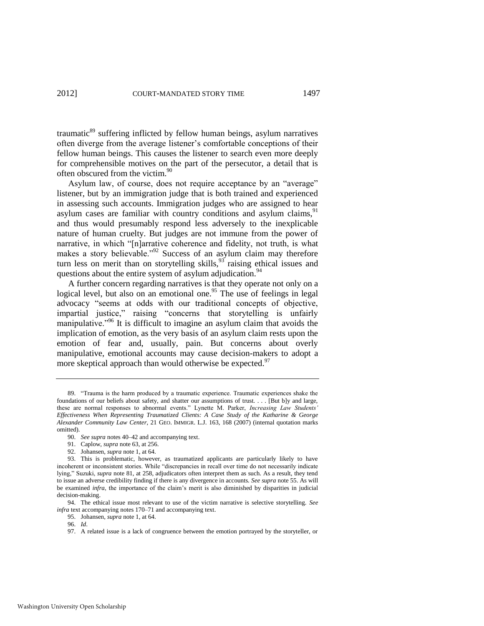<span id="page-13-0"></span>traumatic<sup>89</sup> suffering inflicted by fellow human beings, asylum narratives often diverge from the average listener's comfortable conceptions of their fellow human beings. This causes the listener to search even more deeply for comprehensible motives on the part of the persecutor, a detail that is often obscured from the victim.<sup>90</sup>

Asylum law, of course, does not require acceptance by an "average" listener, but by an immigration judge that is both trained and experienced in assessing such accounts. Immigration judges who are assigned to hear asylum cases are familiar with country conditions and asylum claims,  $91$ and thus would presumably respond less adversely to the inexplicable nature of human cruelty. But judges are not immune from the power of narrative, in which "[n]arrative coherence and fidelity, not truth, is what makes a story believable.<sup>992</sup> Success of an asylum claim may therefore turn less on merit than on storytelling skills,  $93$  raising ethical issues and questions about the entire system of asylum adjudication.<sup>94</sup>

<span id="page-13-1"></span>A further concern regarding narratives is that they operate not only on a logical level, but also on an emotional one.<sup>95</sup> The use of feelings in legal advocacy "seems at odds with our traditional concepts of objective, impartial justice," raising "concerns that storytelling is unfairly manipulative."<sup>96</sup> It is difficult to imagine an asylum claim that avoids the implication of emotion, as the very basis of an asylum claim rests upon the emotion of fear and, usually, pain. But concerns about overly manipulative, emotional accounts may cause decision-makers to adopt a more skeptical approach than would otherwise be expected.<sup>97</sup>

<sup>89. &</sup>quot;Trauma is the harm produced by a traumatic experience. Traumatic experiences shake the foundations of our beliefs about safety, and shatter our assumptions of trust. . . . [But b]y and large, these are normal responses to abnormal events." Lynette M. Parker, *Increasing Law Students' Effectiveness When Representing Traumatized Clients: A Case Study of the Katharine & George Alexander Community Law Center*, 21 GEO. IMMIGR. L.J. 163, 168 (2007) (internal quotation marks omitted).

<sup>90.</sup> *See supra* note[s 40](#page-7-2)[–42 a](#page-7-1)nd accompanying text.

<sup>91.</sup> Caplow, *supra* not[e 63,](#page-10-1) at 256.

<sup>92.</sup> Johansen, *supra* not[e 1,](#page-1-0) at 64.

<sup>93.</sup> This is problematic, however, as traumatized applicants are particularly likely to have incoherent or inconsistent stories. While "discrepancies in recall over time do not necessarily indicate lying," Suzuki, *supra* note [81,](#page-12-1) at 258, adjudicators often interpret them as such. As a result, they tend to issue an adverse credibility finding if there is any divergence in accounts. *See supra* not[e 55.](#page-9-1) As will be examined *infra*, the importance of the claim's merit is also diminished by disparities in judicial decision-making.

<sup>94.</sup> The ethical issue most relevant to use of the victim narrative is selective storytelling. *See infra* text accompanying note[s 170–](#page-25-0)71 and accompanying text.

<sup>95.</sup> Johansen, *supra* not[e 1,](#page-1-0) at 64.

<sup>96.</sup> *Id*.

<sup>97.</sup> A related issue is a lack of congruence between the emotion portrayed by the storyteller, or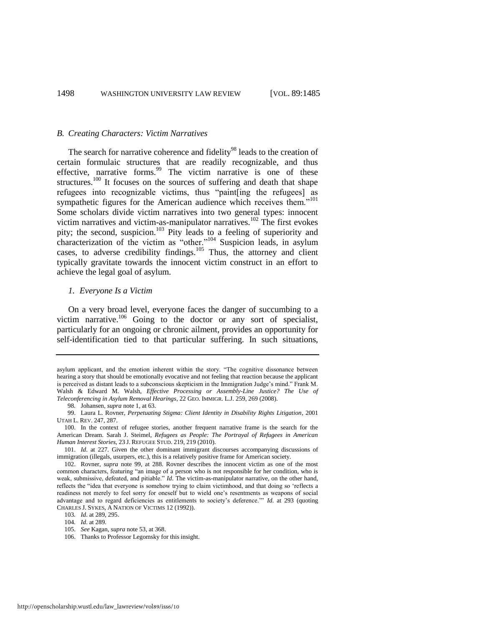#### *B. Creating Characters: Victim Narratives*

<span id="page-14-3"></span><span id="page-14-0"></span>The search for narrative coherence and fidelity<sup>98</sup> leads to the creation of certain formulaic structures that are readily recognizable, and thus effective, narrative forms. $99$  The victim narrative is one of these structures.<sup>100</sup> It focuses on the sources of suffering and death that shape refugees into recognizable victims, thus "paint[ing the refugees] as sympathetic figures for the American audience which receives them."<sup>101</sup> Some scholars divide victim narratives into two general types: innocent victim narratives and victim-as-manipulator narratives.<sup>102</sup> The first evokes pity; the second, suspicion.<sup>103</sup> Pity leads to a feeling of superiority and characterization of the victim as "other."<sup>104</sup> Suspicion leads, in asylum cases, to adverse credibility findings.<sup>105</sup> Thus, the attorney and client typically gravitate towards the innocent victim construct in an effort to achieve the legal goal of asylum.

#### <span id="page-14-4"></span><span id="page-14-2"></span><span id="page-14-1"></span>*1. Everyone Is a Victim*

On a very broad level, everyone faces the danger of succumbing to a victim narrative. $^{106}$  Going to the doctor or any sort of specialist, particularly for an ongoing or chronic ailment, provides an opportunity for self-identification tied to that particular suffering. In such situations,

asylum applicant, and the emotion inherent within the story. "The cognitive dissonance between hearing a story that should be emotionally evocative and not feeling that reaction because the applicant is perceived as distant leads to a subconscious skepticism in the Immigration Judge's mind." Frank M. Walsh & Edward M. Walsh, *Effective Processing or Assembly-Line Justice? The Use of Teleconferencing in Asylum Removal Hearings*, 22 GEO. IMMIGR. L.J. 259, 269 (2008).

<sup>98</sup>*.* Johansen, *supra* not[e 1,](#page-1-0) at 63.

<sup>99.</sup> Laura L. Rovner, *Perpetuating Stigma: Client Identity in Disability Rights Litigation*, 2001 UTAH L. REV. 247, 287.

<sup>100.</sup> In the context of refugee stories, another frequent narrative frame is the search for the American Dream. Sarah J. Steimel, *Refugees as People: The Portrayal of Refugees in American Human Interest Stories*, 23 J. REFUGEE STUD. 219, 219 (2010).

<sup>101.</sup> *Id*. at 227. Given the other dominant immigrant discourses accompanying discussions of immigration (illegals, usurpers, etc.), this is a relatively positive frame for American society.

<sup>102.</sup> Rovner, *supra* note [99,](#page-14-0) at 288. Rovner describes the innocent victim as one of the most common characters, featuring "an image of a person who is not responsible for her condition, who is weak, submissive, defeated, and pitiable." *Id*. The victim-as-manipulator narrative, on the other hand, reflects the "idea that everyone is somehow trying to claim victimhood, and that doing so 'reflects a readiness not merely to feel sorry for oneself but to wield one's resentments as weapons of social advantage and to regard deficiencies as entitlements to society's deference." *Id.* at 293 (quoting CHARLES J. SYKES, A NATION OF VICTIMS 12 (1992)).

<sup>103</sup>*. Id*. at 289, 295.

<sup>104</sup>*. Id*. at 289.

<sup>105.</sup> *See* Kagan, *supra* not[e 53,](#page-8-2) at 368.

<sup>106.</sup> Thanks to Professor Legomsky for this insight.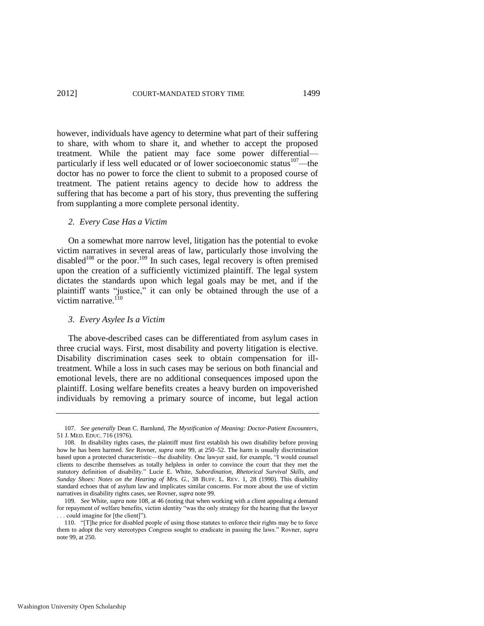however, individuals have agency to determine what part of their suffering to share, with whom to share it, and whether to accept the proposed treatment. While the patient may face some power differential particularly if less well educated or of lower socioeconomic status<sup>107</sup>—the doctor has no power to force the client to submit to a proposed course of treatment. The patient retains agency to decide how to address the suffering that has become a part of his story, thus preventing the suffering from supplanting a more complete personal identity.

#### *2. Every Case Has a Victim*

<span id="page-15-0"></span>On a somewhat more narrow level, litigation has the potential to evoke victim narratives in several areas of law, particularly those involving the disabled<sup>108</sup> or the poor.<sup>109</sup> In such cases, legal recovery is often premised upon the creation of a sufficiently victimized plaintiff. The legal system dictates the standards upon which legal goals may be met, and if the plaintiff wants "justice," it can only be obtained through the use of a victim narrative.<sup>110</sup>

#### *3. Every Asylee Is a Victim*

The above-described cases can be differentiated from asylum cases in three crucial ways. First, most disability and poverty litigation is elective. Disability discrimination cases seek to obtain compensation for illtreatment. While a loss in such cases may be serious on both financial and emotional levels, there are no additional consequences imposed upon the plaintiff. Losing welfare benefits creates a heavy burden on impoverished individuals by removing a primary source of income, but legal action

<sup>107.</sup> *See generally* Dean C. Barnlund, *The Mystification of Meaning: Doctor-Patient Encounters*, 51 J. MED. EDUC. 716 (1976).

<sup>108.</sup> In disability rights cases, the plaintiff must first establish his own disability before proving how he has been harmed. *See* Rovner, *supra* note [99,](#page-14-0) at 250–52. The harm is usually discrimination based upon a protected characteristic—the disability. One lawyer said, for example, "I would counsel clients to describe themselves as totally helpless in order to convince the court that they met the statutory definition of disability." Lucie E. White, *Subordination, Rhetorical Survival Skills, and Sunday Shoes: Notes on the Hearing of Mrs. G.*, 38 BUFF. L. REV. 1, 28 (1990). This disability standard echoes that of asylum law and implicates similar concerns. For more about the use of victim narratives in disability rights cases, see Rovner, *supra* not[e 99.](#page-14-0) 

<sup>109.</sup> *See* White, *supra* not[e 108,](#page-15-0) at 46 (noting that when working with a client appealing a demand for repayment of welfare benefits, victim identity "was the only strategy for the hearing that the lawyer ... could imagine for [the client]").

<sup>110. &</sup>quot;[T]he price for disabled people of using those statutes to enforce their rights may be to force them to adopt the very stereotypes Congress sought to eradicate in passing the laws.‖ Rovner, *supra*  note [99,](#page-14-0) at 250.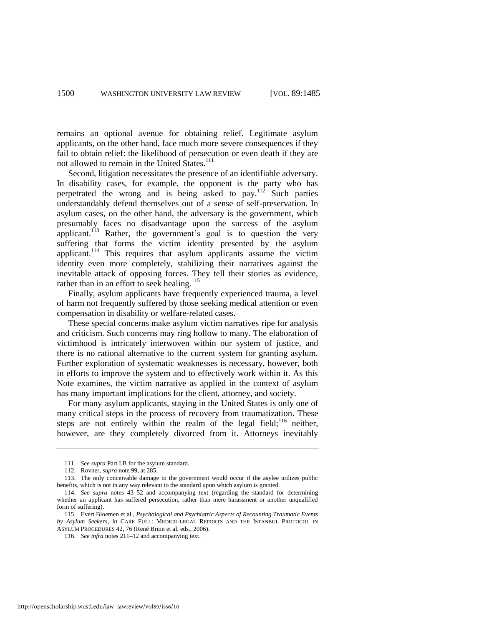remains an optional avenue for obtaining relief. Legitimate asylum applicants, on the other hand, face much more severe consequences if they fail to obtain relief: the likelihood of persecution or even death if they are not allowed to remain in the United States.<sup>111</sup>

Second, litigation necessitates the presence of an identifiable adversary. In disability cases, for example, the opponent is the party who has perpetrated the wrong and is being asked to pay.<sup>112</sup> Such parties understandably defend themselves out of a sense of self-preservation. In asylum cases, on the other hand, the adversary is the government, which presumably faces no disadvantage upon the success of the asylum applicant.<sup>113</sup> Rather, the government's goal is to question the very suffering that forms the victim identity presented by the asylum applicant.<sup>114</sup> This requires that asylum applicants assume the victim identity even more completely, stabilizing their narratives against the inevitable attack of opposing forces. They tell their stories as evidence, rather than in an effort to seek healing.<sup>115</sup>

Finally, asylum applicants have frequently experienced trauma, a level of harm not frequently suffered by those seeking medical attention or even compensation in disability or welfare-related cases.

These special concerns make asylum victim narratives ripe for analysis and criticism. Such concerns may ring hollow to many. The elaboration of victimhood is intricately interwoven within our system of justice, and there is no rational alternative to the current system for granting asylum. Further exploration of systematic weaknesses is necessary, however, both in efforts to improve the system and to effectively work within it. As this Note examines, the victim narrative as applied in the context of asylum has many important implications for the client, attorney, and society.

For many asylum applicants, staying in the United States is only one of many critical steps in the process of recovery from traumatization. These steps are not entirely within the realm of the legal field;<sup>116</sup> neither, however, are they completely divorced from it. Attorneys inevitably

<sup>111.</sup> *See supra* Part I.B for the asylum standard.

<sup>112.</sup> Rovner, *supra* note [99,](#page-14-0) at 285.

<sup>113.</sup> The only conceivable damage to the government would occur if the asylee utilizes public benefits, which is not in any way relevant to the standard upon which asylum is granted.

<sup>114.</sup> *See supra* notes [43–](#page-7-3)[52](#page-8-1) and accompanying text (regarding the standard for determining whether an applicant has suffered persecution, rather than mere harassment or another unqualified form of suffering).

<sup>115.</sup> Evert Bloemen et al., *Psychological and Psychiatric Aspects of Recounting Traumatic Events by Asylum Seekers*, *in* CARE FULL: MEDICO-LEGAL REPORTS AND THE ISTANBUL PROTOCOL IN ASYLUM PROCEDURES 42, 76 (René Bruin et al. eds., 2006).

<sup>116.</sup> *See infra* notes [211–](#page-31-0)12 and accompanying text.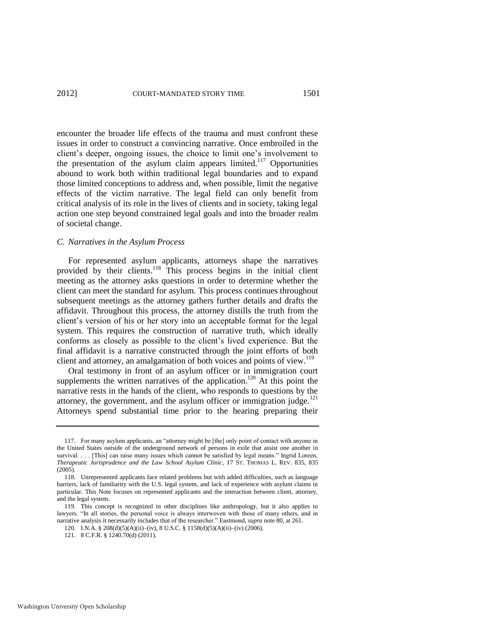<span id="page-17-0"></span>encounter the broader life effects of the trauma and must confront these issues in order to construct a convincing narrative. Once embroiled in the client's deeper, ongoing issues, the choice to limit one's involvement to the presentation of the asylum claim appears limited.<sup>117</sup> Opportunities abound to work both within traditional legal boundaries and to expand those limited conceptions to address and, when possible, limit the negative effects of the victim narrative. The legal field can only benefit from critical analysis of its role in the lives of clients and in society, taking legal action one step beyond constrained legal goals and into the broader realm of societal change.

#### *C. Narratives in the Asylum Process*

For represented asylum applicants, attorneys shape the narratives provided by their clients.<sup>118</sup> This process begins in the initial client meeting as the attorney asks questions in order to determine whether the client can meet the standard for asylum. This process continues throughout subsequent meetings as the attorney gathers further details and drafts the affidavit. Throughout this process, the attorney distills the truth from the client's version of his or her story into an acceptable format for the legal system. This requires the construction of narrative truth, which ideally conforms as closely as possible to the client's lived experience. But the final affidavit is a narrative constructed through the joint efforts of both client and attorney, an amalgamation of both voices and points of view.<sup>119</sup>

Oral testimony in front of an asylum officer or in immigration court supplements the written narratives of the application.<sup>120</sup> At this point the narrative rests in the hands of the client, who responds to questions by the attorney, the government, and the asylum officer or immigration judge.<sup>121</sup> Attorneys spend substantial time prior to the hearing preparing their

<sup>117.</sup> For many asylum applicants, an "attorney might be [the] only point of contact with anyone in the United States outside of the underground network of persons in exile that assist one another in survival. . . . [This] can raise many issues which cannot be satisfied by legal means." Ingrid Loreen, *Therapeutic Jurisprudence and the Law School Asylum Clinic*, 17 ST. THOMAS L. REV. 835, 835 (2005).

<sup>118.</sup> Unrepresented applicants face related problems but with added difficulties, such as language barriers, lack of familiarity with the U.S. legal system, and lack of experience with asylum claims in particular. This Note focuses on represented applicants and the interaction between client, attorney, and the legal system.

<sup>119.</sup> This concept is recognized in other disciplines like anthropology, but it also applies to lawyers. "In all stories, the personal voice is always interwoven with those of many others, and in narrative analysis it necessarily includes that of the researcher." Eastmond, *supra* not[e 80,](#page-12-0) at 261.

<sup>120.</sup> I.N.A. § 208(d)(5)(A)(ii)–(iv), 8 U.S.C. § 1158(d)(5)(A)(ii)–(iv) (2006).

<sup>121. 8</sup> C.F.R. § 1240.70(d) (2011).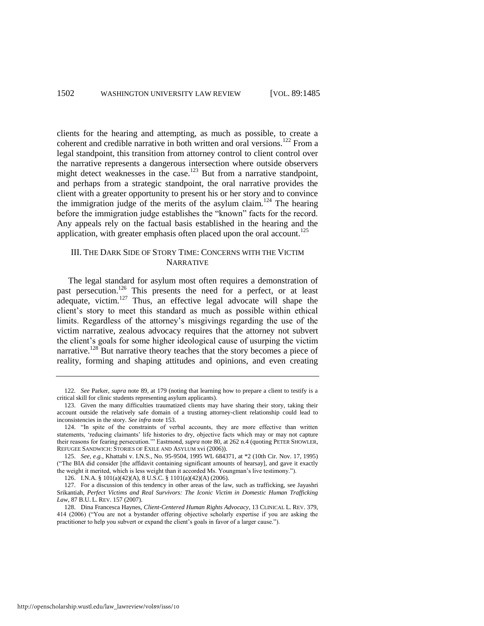clients for the hearing and attempting, as much as possible, to create a coherent and credible narrative in both written and oral versions.<sup>122</sup> From a legal standpoint, this transition from attorney control to client control over the narrative represents a dangerous intersection where outside observers might detect weaknesses in the case.<sup>123</sup> But from a narrative standpoint, and perhaps from a strategic standpoint, the oral narrative provides the client with a greater opportunity to present his or her story and to convince the immigration judge of the merits of the asylum claim.<sup>124</sup> The hearing before the immigration judge establishes the "known" facts for the record. Any appeals rely on the factual basis established in the hearing and the application, with greater emphasis often placed upon the oral account.<sup>125</sup>

#### III. THE DARK SIDE OF STORY TIME: CONCERNS WITH THE VICTIM NARRATIVE

The legal standard for asylum most often requires a demonstration of past persecution.<sup>126</sup> This presents the need for a perfect, or at least  $\alpha$  adequate, victim.<sup>127</sup> Thus, an effective legal advocate will shape the client's story to meet this standard as much as possible within ethical limits. Regardless of the attorney's misgivings regarding the use of the victim narrative, zealous advocacy requires that the attorney not subvert the client's goals for some higher ideological cause of usurping the victim narrative.<sup>128</sup> But narrative theory teaches that the story becomes a piece of reality, forming and shaping attitudes and opinions, and even creating

<span id="page-18-0"></span><sup>122</sup>*. See* Parker, *supra* note [89,](#page-13-0) at 179 (noting that learning how to prepare a client to testify is a critical skill for clinic students representing asylum applicants).

<sup>123.</sup> Given the many difficulties traumatized clients may have sharing their story, taking their account outside the relatively safe domain of a trusting attorney-client relationship could lead to inconsistencies in the story. *See infra* note [153.](#page-22-0) 

<sup>124. &</sup>quot;In spite of the constraints of verbal accounts, they are more effective than written statements, 'reducing claimants' life histories to dry, objective facts which may or may not capture their reasons for fearing persecution.'" Eastmond, *supra* not[e 80,](#page-12-0) at 262 n.4 (quoting PETER SHOWLER, REFUGEE SANDWICH: STORIES OF EXILE AND ASYLUM xvi (2006)).

<sup>125.</sup> *See, e.g.*, Khattabi v. I.N.S., No. 95-9504, 1995 WL 684371, at \*2 (10th Cir. Nov. 17, 1995) (―The BIA did consider [the affidavit containing significant amounts of hearsay], and gave it exactly the weight it merited, which is less weight than it accorded Ms. Youngman's live testimony.").

<sup>126.</sup> I.N.A. § 101(a)(42)(A), 8 U.S.C. § 1101(a)(42)(A) (2006).

<sup>127.</sup> For a discussion of this tendency in other areas of the law, such as trafficking, see Jayashri Srikantiah, *Perfect Victims and Real Survivors: The Iconic Victim in Domestic Human Trafficking Law*, 87 B.U. L. REV. 157 (2007).

<sup>128.</sup> Dina Francesca Haynes, *Client-Centered Human Rights Advocacy*, 13 CLINICAL L. REV. 379, 414 (2006) ("You are not a bystander offering objective scholarly expertise if you are asking the practitioner to help you subvert or expand the client's goals in favor of a larger cause.").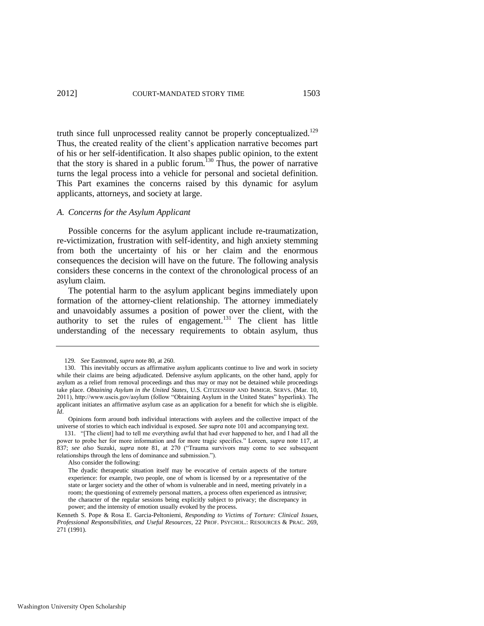<span id="page-19-1"></span>truth since full unprocessed reality cannot be properly conceptualized.<sup>129</sup> Thus, the created reality of the client's application narrative becomes part of his or her self-identification. It also shapes public opinion, to the extent that the story is shared in a public forum.<sup>130</sup> Thus, the power of narrative turns the legal process into a vehicle for personal and societal definition. This Part examines the concerns raised by this dynamic for asylum applicants, attorneys, and society at large.

#### *A. Concerns for the Asylum Applicant*

Possible concerns for the asylum applicant include re-traumatization, re-victimization, frustration with self-identity, and high anxiety stemming from both the uncertainty of his or her claim and the enormous consequences the decision will have on the future. The following analysis considers these concerns in the context of the chronological process of an asylum claim.

The potential harm to the asylum applicant begins immediately upon formation of the attorney-client relationship. The attorney immediately and unavoidably assumes a position of power over the client, with the authority to set the rules of engagement. $131$  The client has little understanding of the necessary requirements to obtain asylum, thus

<span id="page-19-0"></span><sup>129</sup>*. See* Eastmond, *supra* not[e 80,](#page-12-0) at 260.

<sup>130.</sup> This inevitably occurs as affirmative asylum applicants continue to live and work in society while their claims are being adjudicated. Defensive asylum applicants, on the other hand, apply for asylum as a relief from removal proceedings and thus may or may not be detained while proceedings take place. *Obtaining Asylum in the United States*, U.S. CITIZENSHIP AND IMMIGR. SERVS. (Mar. 10, 2011), http://www.uscis.gov/asylum (follow "Obtaining Asylum in the United States" hyperlink). The applicant initiates an affirmative asylum case as an application for a benefit for which she is eligible. *Id*.

Opinions form around both individual interactions with asylees and the collective impact of the universe of stories to which each individual is exposed. *See supra* not[e 101](#page-14-1) and accompanying text.

<sup>131. &</sup>quot;[The client] had to tell me everything awful that had ever happened to her, and I had all the power to probe her for more information and for more tragic specifics." Loreen, *supra* note [117,](#page-17-0) at 837; see also Suzuki, *supra* note [81,](#page-12-1) at 270 ("Trauma survivors may come to see subsequent relationships through the lens of dominance and submission.").

Also consider the following:

The dyadic therapeutic situation itself may be evocative of certain aspects of the torture experience: for example, two people, one of whom is licensed by or a representative of the state or larger society and the other of whom is vulnerable and in need, meeting privately in a room; the questioning of extremely personal matters, a process often experienced as intrusive; the character of the regular sessions being explicitly subject to privacy; the discrepancy in power; and the intensity of emotion usually evoked by the process.

Kenneth S. Pope & Rosa E. Garcia-Peltoniemi, *Responding to Victims of Torture: Clinical Issues, Professional Responsibilities, and Useful Resources*, 22 PROF. PSYCHOL.: RESOURCES & PRAC. 269, 271 (1991).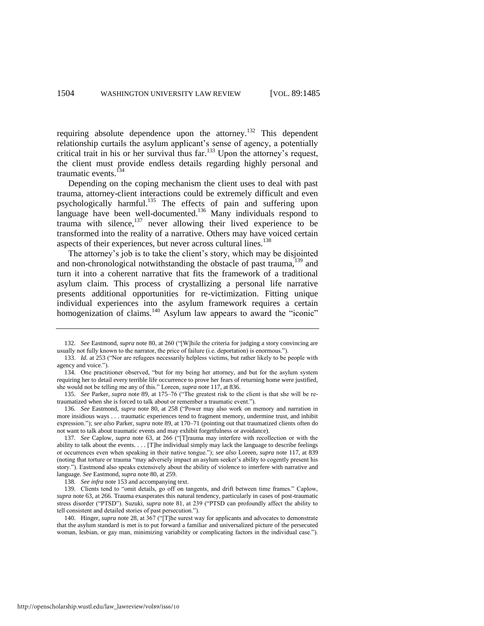<span id="page-20-4"></span><span id="page-20-0"></span>requiring absolute dependence upon the attorney.<sup>132</sup> This dependent relationship curtails the asylum applicant's sense of agency, a potentially critical trait in his or her survival thus far.<sup>133</sup> Upon the attorney's request, the client must provide endless details regarding highly personal and traumatic events.<sup>134</sup>

<span id="page-20-5"></span>Depending on the coping mechanism the client uses to deal with past trauma, attorney-client interactions could be extremely difficult and even psychologically harmful.<sup>135</sup> The effects of pain and suffering upon language have been well-documented.<sup>136</sup> Many individuals respond to trauma with silence, $137$  never allowing their lived experience to be transformed into the reality of a narrative. Others may have voiced certain aspects of their experiences, but never across cultural lines.<sup>138</sup>

<span id="page-20-3"></span><span id="page-20-1"></span>The attorney's job is to take the client's story, which may be disjointed and non-chronological notwithstanding the obstacle of past trauma, <sup>139</sup> and turn it into a coherent narrative that fits the framework of a traditional asylum claim. This process of crystallizing a personal life narrative presents additional opportunities for re-victimization. Fitting unique individual experiences into the asylum framework requires a certain homogenization of claims.<sup>140</sup> Asylum law appears to award the "iconic"

138*. See infra* not[e 153 a](#page-22-0)nd accompanying text.

<span id="page-20-2"></span><sup>132.</sup> See Eastmond, *supra* not[e 80,](#page-12-0) at 260 ("[W]hile the criteria for judging a story convincing are usually not fully known to the narrator, the price of failure (i.e. deportation) is enormous.").

<sup>133.</sup> *Id.* at 253 ("Nor are refugees necessarily helpless victims, but rather likely to be people with agency and voice.").

<sup>134.</sup> One practitioner observed, "but for my being her attorney, and but for the asylum system requiring her to detail every terrible life occurrence to prove her fears of returning home were justified, she would not be telling me any of this." Loreen, *supra* not[e 117,](#page-17-0) at 836.

<sup>135.</sup> *See* Parker, *supra* note [89,](#page-13-0) at 175–76 ("The greatest risk to the client is that she will be retraumatized when she is forced to talk about or remember a traumatic event.").

<sup>136.</sup> See Eastmond, *supra* note [80,](#page-12-0) at 258 ("Power may also work on memory and narration in more insidious ways . . . traumatic experiences tend to fragment memory, undermine trust, and inhibit expression.‖); *see also* Parker, *supra* not[e 89,](#page-13-0) at 170–71 (pointing out that traumatized clients often do not want to talk about traumatic events and may exhibit forgetfulness or avoidance).

<sup>137.</sup> See Caplow, *supra* note [63,](#page-10-1) at 266 ("[T]rauma may interfere with recollection or with the ability to talk about the events. . . . [T]he individual simply may lack the language to describe feelings or occurrences even when speaking in their native tongue.‖); *see also* Loreen, *supra* not[e 117,](#page-17-0) at 839 (noting that torture or trauma "may adversely impact an asylum seeker's ability to cogently present his story."). Eastmond also speaks extensively about the ability of violence to interfere with narrative and language. *See* Eastmond, *supra* not[e 80,](#page-12-0) at 259.

<sup>139.</sup> Clients tend to "omit details, go off on tangents, and drift between time frames." Caplow, *supra* not[e 63,](#page-10-1) at 266. Trauma exasperates this natural tendency, particularly in cases of post-traumatic stress disorder ("PTSD"). Suzuki, *supra* note [81,](#page-12-1) at 239 ("PTSD can profoundly affect the ability to tell consistent and detailed stories of past persecution.").

<sup>140.</sup> Hinger, *supra* note [28,](#page-5-2) at 367 ("[T]he surest way for applicants and advocates to demonstrate that the asylum standard is met is to put forward a familiar and universalized picture of the persecuted woman, lesbian, or gay man, minimizing variability or complicating factors in the individual case.").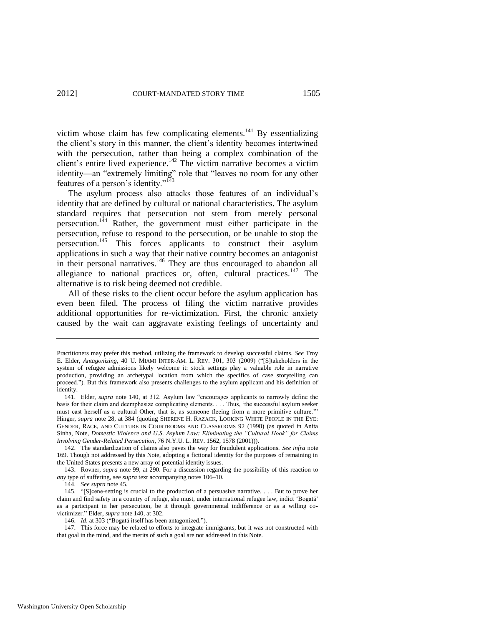<span id="page-21-1"></span>victim whose claim has few complicating elements.<sup>141</sup> By essentializing the client's story in this manner, the client's identity becomes intertwined with the persecution, rather than being a complex combination of the client's entire lived experience.<sup>142</sup> The victim narrative becomes a victim identity—an "extremely limiting" role that "leaves no room for any other features of a person's identity." $143$ 

<span id="page-21-0"></span>The asylum process also attacks those features of an individual's identity that are defined by cultural or national characteristics. The asylum standard requires that persecution not stem from merely personal persecution.<sup>144</sup> Rather, the government must either participate in the persecution, refuse to respond to the persecution, or be unable to stop the persecution.<sup>145</sup> This forces applicants to construct their asylum applications in such a way that their native country becomes an antagonist in their personal narratives.<sup>146</sup> They are thus encouraged to abandon all allegiance to national practices or, often, cultural practices. $147$  The alternative is to risk being deemed not credible.

All of these risks to the client occur before the asylum application has even been filed. The process of filing the victim narrative provides additional opportunities for re-victimization. First, the chronic anxiety caused by the wait can aggravate existing feelings of uncertainty and

Practitioners may prefer this method, utilizing the framework to develop successful claims. *See* Troy E. Elder, *Antagonizing*, 40 U. MIAMI INTER-AM. L. REV. 301, 303 (2009) ("[S]takeholders in the system of refugee admissions likely welcome it: stock settings play a valuable role in narrative production, providing an archetypal location from which the specifics of case storytelling can proceed."). But this framework also presents challenges to the asylum applicant and his definition of identity.

<sup>141.</sup> Elder, *supra* note [140,](#page-20-2) at 312. Asylum law "encourages applicants to narrowly define the basis for their claim and deemphasize complicating elements. . . . Thus, ‗the successful asylum seeker must cast herself as a cultural Other, that is, as someone fleeing from a more primitive culture." Hinger, *supra* not[e 28,](#page-5-2) at 384 (quoting SHERENE H. RAZACK, LOOKING WHITE PEOPLE IN THE EYE: GENDER, RACE, AND CULTURE IN COURTROOMS AND CLASSROOMS 92 (1998) (as quoted in Anita Sinha, Note, *Domestic Violence and U.S. Asylum Law: Eliminating the "Cultural Hook" for Claims Involving Gender-Related Persecution*, 76 N.Y.U. L. REV. 1562, 1578 (2001))).

<sup>142.</sup> The standardization of claims also paves the way for fraudulent applications. *See infra* note [169.](#page-25-1) Though not addressed by this Note, adopting a fictional identity for the purposes of remaining in the United States presents a new array of potential identity issues.

<sup>143.</sup> Rovner, *supra* note [99,](#page-14-0) at 290. For a discussion regarding the possibility of this reaction to *any* type of suffering, see *supra* text accompanying notes [106–](#page-14-2)10.

<sup>144.</sup> *See supra* not[e 45.](#page-7-0) 

<sup>145. &</sup>quot;[S]cene-setting is crucial to the production of a persuasive narrative. . . . But to prove her claim and find safety in a country of refuge, she must, under international refugee law, indict 'Bogatá' as a participant in her persecution, be it through governmental indifference or as a willing covictimizer." Elder, *supra* not[e 140,](#page-20-2) at 302.

<sup>146.</sup> *Id.* at 303 ("Bogatá itself has been antagonized.").

<sup>147.</sup> This force may be related to efforts to integrate immigrants, but it was not constructed with that goal in the mind, and the merits of such a goal are not addressed in this Note.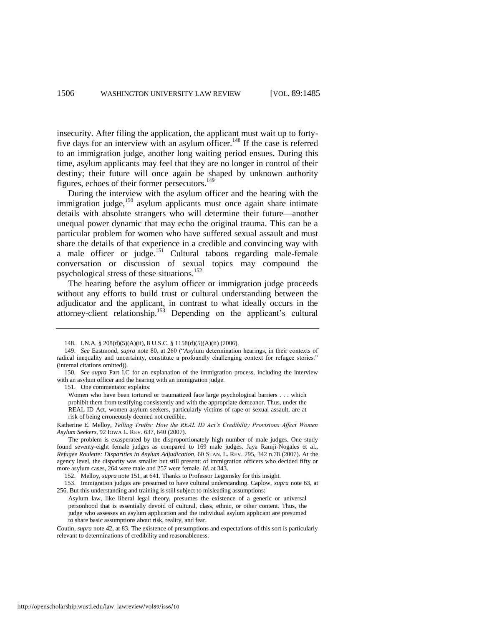insecurity. After filing the application, the applicant must wait up to fortyfive days for an interview with an asylum officer.<sup>148</sup> If the case is referred to an immigration judge, another long waiting period ensues. During this time, asylum applicants may feel that they are no longer in control of their destiny; their future will once again be shaped by unknown authority figures, echoes of their former persecutors.<sup>149</sup>

During the interview with the asylum officer and the hearing with the immigration judge,<sup>150</sup> asylum applicants must once again share intimate details with absolute strangers who will determine their future—another unequal power dynamic that may echo the original trauma. This can be a particular problem for women who have suffered sexual assault and must share the details of that experience in a credible and convincing way with a male officer or judge.<sup>151</sup> Cultural taboos regarding male-female conversation or discussion of sexual topics may compound the psychological stress of these situations.<sup>152</sup>

<span id="page-22-1"></span>The hearing before the asylum officer or immigration judge proceeds without any efforts to build trust or cultural understanding between the adjudicator and the applicant, in contrast to what ideally occurs in the attorney-client relationship.<sup>153</sup> Depending on the applicant's cultural

151. One commentator explains:

Women who have been tortured or traumatized face large psychological barriers . . . which prohibit them from testifying consistently and with the appropriate demeanor. Thus, under the REAL ID Act, women asylum seekers, particularly victims of rape or sexual assault, are at risk of being erroneously deemed not credible.

Katherine E. Melloy, *Telling Truths: How the REAL ID Act"s Credibility Provisions Affect Women Asylum Seekers*, 92 IOWA L. REV. 637, 640 (2007).

 The problem is exasperated by the disproportionately high number of male judges. One study found seventy-eight female judges as compared to 169 male judges. Jaya Ramji-Nogales et al., *Refugee Roulette: Disparities in Asylum Adjudication*, 60 STAN. L. REV. 295, 342 n.78 (2007). At the agency level, the disparity was smaller but still present: of immigration officers who decided fifty or more asylum cases, 264 were male and 257 were female. *Id*. at 343.

152. Melloy, *supra* not[e 151,](#page-22-1) at 641. Thanks to Professor Legomsky for this insight.

153. Immigration judges are presumed to have cultural understanding. Caplow, *supra* note [63,](#page-10-1) at 256. But this understanding and training is still subject to misleading assumptions:

Coutin, *supra* not[e 42,](#page-7-1) at 83. The existence of presumptions and expectations of this sort is particularly relevant to determinations of credibility and reasonableness.

<span id="page-22-0"></span><sup>148.</sup> I.N.A. § 208(d)(5)(A)(ii), 8 U.S.C. § 1158(d)(5)(A)(ii) (2006).

<sup>149.</sup> *See Eastmond, supra note [80,](#page-12-0) at 260 ("Asylum determination hearings, in their contexts of* radical inequality and uncertainty, constitute a profoundly challenging context for refugee stories." (internal citations omitted)).

<sup>150.</sup> *See supra* Part I.C for an explanation of the immigration process, including the interview with an asylum officer and the hearing with an immigration judge.

Asylum law, like liberal legal theory, presumes the existence of a generic or universal personhood that is essentially devoid of cultural, class, ethnic, or other content. Thus, the judge who assesses an asylum application and the individual asylum applicant are presumed to share basic assumptions about risk, reality, and fear.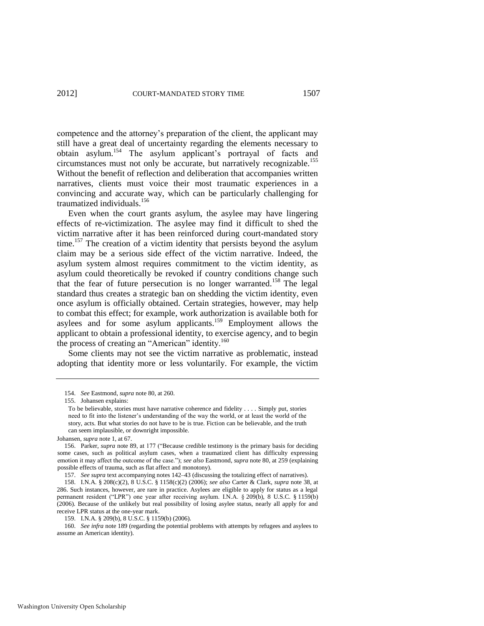competence and the attorney's preparation of the client, the applicant may still have a great deal of uncertainty regarding the elements necessary to obtain asylum.<sup>154</sup> The asylum applicant's portrayal of facts and circumstances must not only be accurate, but narratively recognizable.<sup>155</sup> Without the benefit of reflection and deliberation that accompanies written narratives, clients must voice their most traumatic experiences in a convincing and accurate way, which can be particularly challenging for traumatized individuals.<sup>156</sup>

<span id="page-23-0"></span>Even when the court grants asylum, the asylee may have lingering effects of re-victimization. The asylee may find it difficult to shed the victim narrative after it has been reinforced during court-mandated story time.<sup>157</sup> The creation of a victim identity that persists beyond the asylum claim may be a serious side effect of the victim narrative. Indeed, the asylum system almost requires commitment to the victim identity, as asylum could theoretically be revoked if country conditions change such that the fear of future persecution is no longer warranted.<sup>158</sup> The legal standard thus creates a strategic ban on shedding the victim identity, even once asylum is officially obtained. Certain strategies, however, may help to combat this effect; for example, work authorization is available both for asylees and for some asylum applicants.<sup>159</sup> Employment allows the applicant to obtain a professional identity, to exercise agency, and to begin the process of creating an "American" identity.<sup>160</sup>

Some clients may not see the victim narrative as problematic, instead adopting that identity more or less voluntarily. For example, the victim

Johansen, *supra* not[e 1,](#page-1-0) at 67.

157. *See supra* text accompanying note[s 142–](#page-21-1)43 (discussing the totalizing effect of narratives).

160. *See infra* not[e 189](#page-28-0) (regarding the potential problems with attempts by refugees and asylees to assume an American identity).

<sup>154.</sup> *See* Eastmond, *supra* not[e 80,](#page-12-0) at 260.

<sup>155.</sup> Johansen explains:

To be believable, stories must have narrative coherence and fidelity . . . . Simply put, stories need to fit into the listener's understanding of the way the world, or at least the world of the story, acts. But what stories do not have to be is true. Fiction can be believable, and the truth can seem implausible, or downright impossible.

<sup>156.</sup> Parker, *supra* not[e 89,](#page-13-0) at 177 ("Because credible testimony is the primary basis for deciding some cases, such as political asylum cases, when a traumatized client has difficulty expressing emotion it may affect the outcome of the case."); *see also* Eastmond, *supra* not[e 80,](#page-12-0) at 259 (explaining possible effects of trauma, such as flat affect and monotony).

<sup>158.</sup> I.N.A. § 208(c)(2), 8 U.S.C. § 1158(c)(2) (2006); *see also* Carter & Clark, *supra* note [38,](#page-7-4) at 286. Such instances, however, are rare in practice. Asylees are eligible to apply for status as a legal permanent resident ("LPR") one year after receiving asylum. I.N.A. § 209(b), 8 U.S.C. § 1159(b) (2006). Because of the unlikely but real possibility of losing asylee status, nearly all apply for and receive LPR status at the one-year mark.

<sup>159.</sup> I.N.A. § 209(b), 8 U.S.C. § 1159(b) (2006).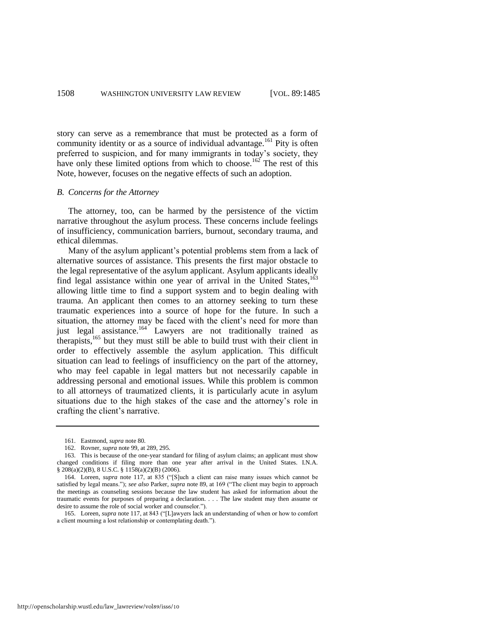story can serve as a remembrance that must be protected as a form of community identity or as a source of individual advantage.<sup>161</sup> Pity is often preferred to suspicion, and for many immigrants in today's society, they have only these limited options from which to choose.<sup>162</sup> The rest of this Note, however, focuses on the negative effects of such an adoption.

#### *B. Concerns for the Attorney*

The attorney, too, can be harmed by the persistence of the victim narrative throughout the asylum process. These concerns include feelings of insufficiency, communication barriers, burnout, secondary trauma, and ethical dilemmas.

Many of the asylum applicant's potential problems stem from a lack of alternative sources of assistance. This presents the first major obstacle to the legal representative of the asylum applicant. Asylum applicants ideally find legal assistance within one year of arrival in the United States,<sup>163</sup> allowing little time to find a support system and to begin dealing with trauma. An applicant then comes to an attorney seeking to turn these traumatic experiences into a source of hope for the future. In such a situation, the attorney may be faced with the client's need for more than just legal assistance.<sup>164</sup> Lawyers are not traditionally trained as therapists, $165$  but they must still be able to build trust with their client in order to effectively assemble the asylum application. This difficult situation can lead to feelings of insufficiency on the part of the attorney, who may feel capable in legal matters but not necessarily capable in addressing personal and emotional issues. While this problem is common to all attorneys of traumatized clients, it is particularly acute in asylum situations due to the high stakes of the case and the attorney's role in crafting the client's narrative.

<sup>161.</sup> Eastmond, *supra* not[e 80.](#page-12-0)

<sup>162.</sup> Rovner, *supra* note [99,](#page-14-0) at 289, 295.

<sup>163.</sup> This is because of the one-year standard for filing of asylum claims; an applicant must show changed conditions if filing more than one year after arrival in the United States. I.N.A. § 208(a)(2)(B), 8 U.S.C. § 1158(a)(2)(B) (2006).

<sup>164.</sup> Loreen, *supra* note [117,](#page-17-0) at 835 ("[S]uch a client can raise many issues which cannot be satisfied by legal means."); *see also* Parker, *supra* not[e 89,](#page-13-0) at 169 ("The client may begin to approach the meetings as counseling sessions because the law student has asked for information about the traumatic events for purposes of preparing a declaration. . . . The law student may then assume or desire to assume the role of social worker and counselor.").

<sup>165.</sup> Loreen, *supra* not[e 117,](#page-17-0) at 843 ("[L]awyers lack an understanding of when or how to comfort a client mourning a lost relationship or contemplating death.").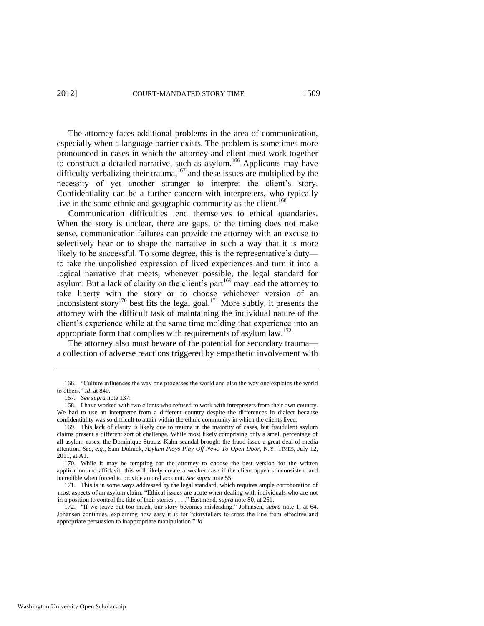The attorney faces additional problems in the area of communication, especially when a language barrier exists. The problem is sometimes more pronounced in cases in which the attorney and client must work together to construct a detailed narrative, such as asylum.<sup>166</sup> Applicants may have difficulty verbalizing their trauma,  $167$  and these issues are multiplied by the necessity of yet another stranger to interpret the client's story. Confidentiality can be a further concern with interpreters, who typically live in the same ethnic and geographic community as the client.<sup>168</sup>

Communication difficulties lend themselves to ethical quandaries. When the story is unclear, there are gaps, or the timing does not make sense, communication failures can provide the attorney with an excuse to selectively hear or to shape the narrative in such a way that it is more likely to be successful. To some degree, this is the representative's duty to take the unpolished expression of lived experiences and turn it into a logical narrative that meets, whenever possible, the legal standard for asylum. But a lack of clarity on the client's part<sup>169</sup> may lead the attorney to take liberty with the story or to choose whichever version of an inconsistent story<sup>170</sup> best fits the legal goal.<sup>171</sup> More subtly, it presents the attorney with the difficult task of maintaining the individual nature of the client's experience while at the same time molding that experience into an appropriate form that complies with requirements of asylum law. $172$ 

<span id="page-25-1"></span><span id="page-25-0"></span>The attorney also must beware of the potential for secondary trauma a collection of adverse reactions triggered by empathetic involvement with

<sup>166. &</sup>quot;Culture influences the way one processes the world and also the way one explains the world to others.‖ *Id*. at 840.

<sup>167</sup>*. See supra* not[e 137.](#page-20-3) 

<sup>168.</sup> I have worked with two clients who refused to work with interpreters from their own country. We had to use an interpreter from a different country despite the differences in dialect because confidentiality was so difficult to attain within the ethnic community in which the clients lived.

<sup>169.</sup> This lack of clarity is likely due to trauma in the majority of cases, but fraudulent asylum claims present a different sort of challenge. While most likely comprising only a small percentage of all asylum cases, the Dominique Strauss-Kahn scandal brought the fraud issue a great deal of media attention. *See, e.g.*, Sam Dolnick, *Asylum Ploys Play Off News To Open Door*, N.Y. TIMES, July 12, 2011, at A1.

<sup>170.</sup> While it may be tempting for the attorney to choose the best version for the written application and affidavit, this will likely create a weaker case if the client appears inconsistent and incredible when forced to provide an oral account. *See supra* not[e 55.](#page-9-1) 

<sup>171.</sup> This is in some ways addressed by the legal standard, which requires ample corroboration of most aspects of an asylum claim. "Ethical issues are acute when dealing with individuals who are not in a position to control the fate of their stories . . . ." Eastmond, *supra* not[e 80,](#page-12-0) at 261.

<sup>172. &</sup>quot;If we leave out too much, our story becomes misleading." Johansen, *supra* note [1,](#page-1-0) at 64. Johansen continues, explaining how easy it is for "storytellers to cross the line from effective and appropriate persuasion to inappropriate manipulation." *Id.*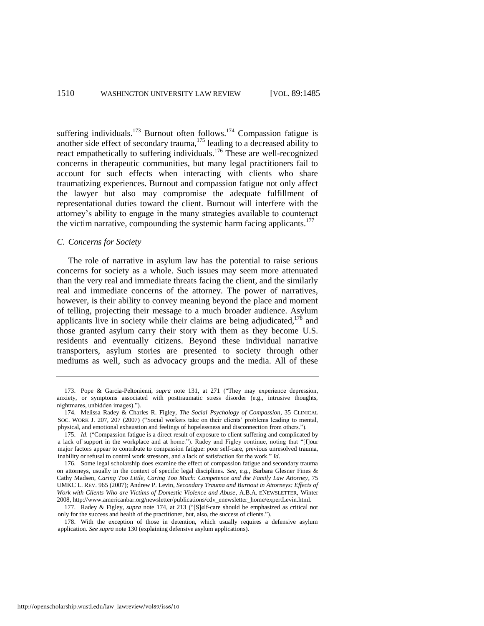<span id="page-26-0"></span>suffering individuals.<sup>173</sup> Burnout often follows.<sup>174</sup> Compassion fatigue is another side effect of secondary trauma,<sup>175</sup> leading to a decreased ability to react empathetically to suffering individuals.<sup>176</sup> These are well-recognized concerns in therapeutic communities, but many legal practitioners fail to account for such effects when interacting with clients who share traumatizing experiences. Burnout and compassion fatigue not only affect the lawyer but also may compromise the adequate fulfillment of representational duties toward the client. Burnout will interfere with the attorney's ability to engage in the many strategies available to counteract the victim narrative, compounding the systemic harm facing applicants.<sup>177</sup>

#### *C. Concerns for Society*

The role of narrative in asylum law has the potential to raise serious concerns for society as a whole. Such issues may seem more attenuated than the very real and immediate threats facing the client, and the similarly real and immediate concerns of the attorney. The power of narratives, however, is their ability to convey meaning beyond the place and moment of telling, projecting their message to a much broader audience. Asylum applicants live in society while their claims are being adjudicated, $178$  and those granted asylum carry their story with them as they become U.S. residents and eventually citizens. Beyond these individual narrative transporters, asylum stories are presented to society through other mediums as well, such as advocacy groups and the media. All of these

<sup>173.</sup> Pope & Garcia-Peltoniemi, *supra* note [131,](#page-19-0) at 271 ("They may experience depression, anxiety, or symptoms associated with posttraumatic stress disorder (e.g., intrusive thoughts, nightmares, unbidden images).").

<sup>174.</sup> Melissa Radey & Charles R. Figley, *The Social Psychology of Compassion*, 35 CLINICAL SOC. WORK J. 207, 207 (2007) ("Social workers take on their clients' problems leading to mental, physical, and emotional exhaustion and feelings of hopelessness and disconnection from others.").

<sup>175.</sup> *Id.* ("Compassion fatigue is a direct result of exposure to client suffering and complicated by a lack of support in the workplace and at home."). Radey and Figley continue, noting that "[f]our major factors appear to contribute to compassion fatigue: poor self-care, previous unresolved trauma, inability or refusal to control work stressors, and a lack of satisfaction for the work." Id.

<sup>176.</sup> Some legal scholarship does examine the effect of compassion fatigue and secondary trauma on attorneys, usually in the context of specific legal disciplines. *See, e.g.*, Barbara Glesner Fines & Cathy Madsen, *Caring Too Little, Caring Too Much: Competence and the Family Law Attorney*, 75 UMKC L. REV. 965 (2007); Andrew P. Levin, *Secondary Trauma and Burnout in Attorneys: Effects of Work with Clients Who are Victims of Domestic Violence and Abuse*, A.B.A. ENEWSLETTER, Winter 2008, http://www.americanbar.org/newsletter/publications/cdv\_enewsletter\_home/expertLevin.html.

<sup>177.</sup> Radey & Figley, *supra* note [174,](#page-26-0) at 213 ("Self-care should be emphasized as critical not only for the success and health of the practitioner, but, also, the success of clients.‖).

<sup>178.</sup> With the exception of those in detention, which usually requires a defensive asylum application. *See supra* not[e 130 \(](#page-19-1)explaining defensive asylum applications).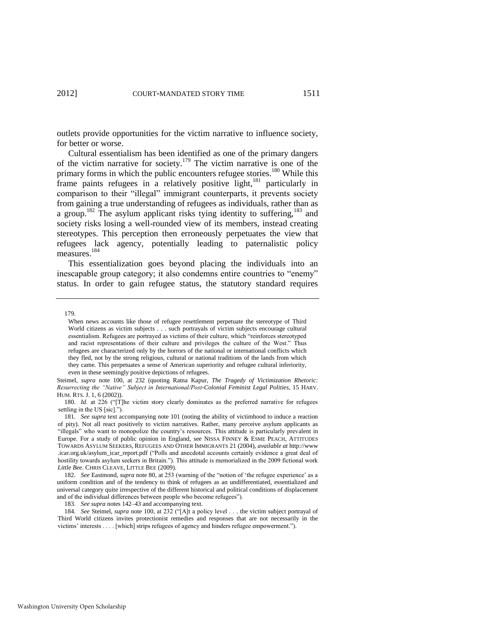outlets provide opportunities for the victim narrative to influence society, for better or worse.

<span id="page-27-0"></span>Cultural essentialism has been identified as one of the primary dangers of the victim narrative for society.<sup>179</sup> The victim narrative is one of the primary forms in which the public encounters refugee stories.<sup>180</sup> While this frame paints refugees in a relatively positive light,<sup>181</sup> particularly in comparison to their "illegal" immigrant counterparts, it prevents society from gaining a true understanding of refugees as individuals, rather than as a group.<sup>182</sup> The asylum applicant risks tying identity to suffering,<sup>183</sup> and society risks losing a well-rounded view of its members, instead creating stereotypes. This perception then erroneously perpetuates the view that refugees lack agency, potentially leading to paternalistic policy measures.<sup>184</sup>

This essentialization goes beyond placing the individuals into an inescapable group category; it also condemns entire countries to "enemy" status. In order to gain refugee status, the statutory standard requires

Steimel, *supra* note [100,](#page-14-3) at 232 (quoting Ratna Kapur, *The Tragedy of Victimization Rhetoric: Resurrecting the "Native" Subject in International/Post-Colonial Feminist Legal Polities*, 15 HARV. HUM. RTS. J. 1, 6 (2002)).

180. *Id.* at 226 ("[T]he victim story clearly dominates as the preferred narrative for refugees settling in the US [sic].").

<sup>179.</sup> 

When news accounts like those of refugee resettlement perpetuate the stereotype of Third World citizens as victim subjects . . . such portrayals of victim subjects encourage cultural essentialism. Refugees are portrayed as victims of their culture, which "reinforces stereotyped and racist representations of their culture and privileges the culture of the West." Thus refugees are characterized only by the horrors of the national or international conflicts which they fled, not by the strong religious, cultural or national traditions of the lands from which they came. This perpetuates a sense of American superiority and refugee cultural inferiority, even in these seemingly positive depictions of refugees.

<sup>181.</sup> *See supra* text accompanying note [101](#page-14-4) (noting the ability of victimhood to induce a reaction of pity). Not all react positively to victim narratives. Rather, many perceive asylum applicants as ―illegals‖ who want to monopolize the country's resources. This attitude is particularly prevalent in Europe. For a study of public opinion in England, see NISSA FINNEY & ESME PEACH, ATTITUDES TOWARDS ASYLUM SEEKERS, REFUGEES AND OTHER IMMIGRANTS 21 (2004), *available at* http://www .icar.org.uk/asylum\_icar\_report.pdf ("Polls and anecdotal accounts certainly evidence a great deal of hostility towards asylum seekers in Britain."). This attitude is memorialized in the 2009 fictional work *Little Bee*. CHRIS CLEAVE, LITTLE BEE (2009).

<sup>182.</sup> *See* Eastmond, *supra* not[e 80,](#page-12-0) at 253 (warning of the "notion of 'the refugee experience' as a uniform condition and of the tendency to think of refugees as an undifferentiated, essentialized and universal category quite irrespective of the different historical and political conditions of displacement and of the individual differences between people who become refugees").

<sup>183</sup>*. See supra* note[s 142–](#page-21-1)43 and accompanying text.

<sup>184.</sup> See Steimel, *supra* note [100,](#page-14-3) at 232 ("[A]t a policy level . . . the victim subject portrayal of Third World citizens invites protectionist remedies and responses that are not necessarily in the victims' interests . . . . [which] strips refugees of agency and hinders refugee empowerment.").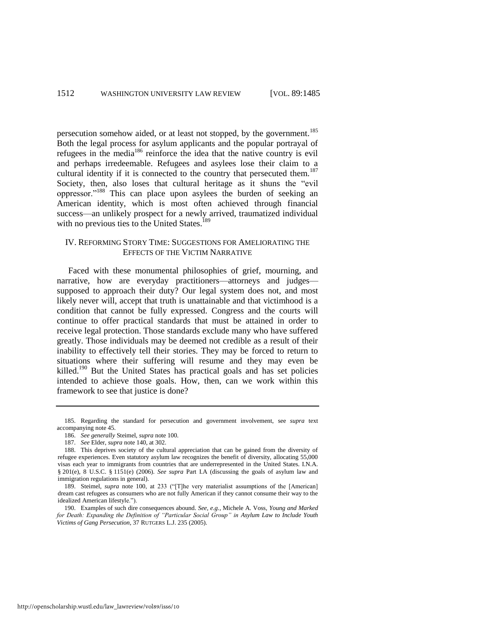persecution somehow aided, or at least not stopped, by the government.<sup>185</sup> Both the legal process for asylum applicants and the popular portrayal of refugees in the media<sup>186</sup> reinforce the idea that the native country is evil and perhaps irredeemable. Refugees and asylees lose their claim to a cultural identity if it is connected to the country that persecuted them.<sup>187</sup> Society, then, also loses that cultural heritage as it shuns the "evil oppressor."<sup>188</sup> This can place upon asylees the burden of seeking an American identity, which is most often achieved through financial success—an unlikely prospect for a newly arrived, traumatized individual with no previous ties to the United States.<sup>189</sup>

#### <span id="page-28-0"></span>IV. REFORMING STORY TIME: SUGGESTIONS FOR AMELIORATING THE EFFECTS OF THE VICTIM NARRATIVE

Faced with these monumental philosophies of grief, mourning, and narrative, how are everyday practitioners—attorneys and judges supposed to approach their duty? Our legal system does not, and most likely never will, accept that truth is unattainable and that victimhood is a condition that cannot be fully expressed. Congress and the courts will continue to offer practical standards that must be attained in order to receive legal protection. Those standards exclude many who have suffered greatly. Those individuals may be deemed not credible as a result of their inability to effectively tell their stories. They may be forced to return to situations where their suffering will resume and they may even be killed.<sup>190</sup> But the United States has practical goals and has set policies intended to achieve those goals. How, then, can we work within this framework to see that justice is done?

<sup>185.</sup> Regarding the standard for persecution and government involvement, see *supra* text accompanying not[e 45.](#page-7-0) 

<sup>186.</sup> *See generally* Steimel, *supra* not[e 100.](#page-14-3)

<sup>187.</sup> *See* Elder, *supra* not[e 140,](#page-20-2) at 302.

<sup>188.</sup> This deprives society of the cultural appreciation that can be gained from the diversity of refugee experiences. Even statutory asylum law recognizes the benefit of diversity, allocating 55,000 visas each year to immigrants from countries that are underrepresented in the United States. I.N.A. § 201(e), 8 U.S.C. § 1151(e) (2006). *See supra* Part I.A (discussing the goals of asylum law and immigration regulations in general).

<sup>189.</sup> Steimel, *supra* note [100,](#page-14-3) at 233 ("[T]he very materialist assumptions of the [American] dream cast refugees as consumers who are not fully American if they cannot consume their way to the idealized American lifestyle.").

<sup>190.</sup> Examples of such dire consequences abound. *See, e.g.*, Michele A. Voss, *Young and Marked for Death: Expanding the Definition of "Particular Social Group" in Asylum Law to Include Youth Victims of Gang Persecution*, 37 RUTGERS L.J. 235 (2005).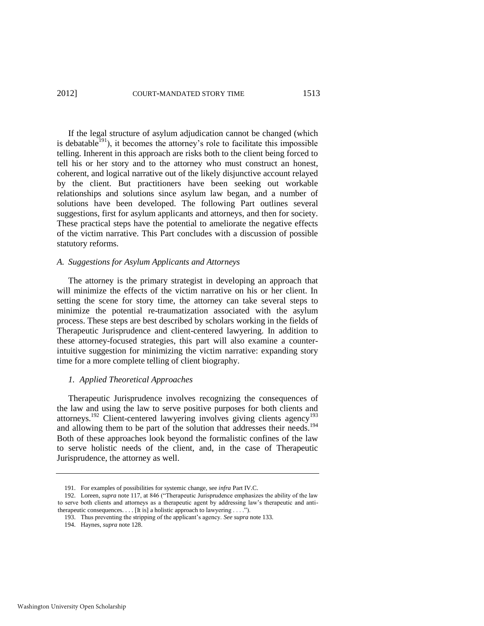If the legal structure of asylum adjudication cannot be changed (which is debatable $191$ ), it becomes the attorney's role to facilitate this impossible telling. Inherent in this approach are risks both to the client being forced to tell his or her story and to the attorney who must construct an honest, coherent, and logical narrative out of the likely disjunctive account relayed by the client. But practitioners have been seeking out workable relationships and solutions since asylum law began, and a number of solutions have been developed. The following Part outlines several suggestions, first for asylum applicants and attorneys, and then for society. These practical steps have the potential to ameliorate the negative effects of the victim narrative. This Part concludes with a discussion of possible statutory reforms.

#### *A. Suggestions for Asylum Applicants and Attorneys*

The attorney is the primary strategist in developing an approach that will minimize the effects of the victim narrative on his or her client. In setting the scene for story time, the attorney can take several steps to minimize the potential re-traumatization associated with the asylum process. These steps are best described by scholars working in the fields of Therapeutic Jurisprudence and client-centered lawyering. In addition to these attorney-focused strategies, this part will also examine a counterintuitive suggestion for minimizing the victim narrative: expanding story time for a more complete telling of client biography.

#### *1. Applied Theoretical Approaches*

<span id="page-29-0"></span>Therapeutic Jurisprudence involves recognizing the consequences of the law and using the law to serve positive purposes for both clients and attorneys.<sup>192</sup> Client-centered lawyering involves giving clients agency<sup>193</sup> and allowing them to be part of the solution that addresses their needs.<sup>194</sup> Both of these approaches look beyond the formalistic confines of the law to serve holistic needs of the client, and, in the case of Therapeutic Jurisprudence, the attorney as well.

<sup>191.</sup> For examples of possibilities for systemic change, see *infra* Part IV.C.

<sup>192.</sup> Loreen, *supra* not[e 117,](#page-17-0) at 846 ("Therapeutic Jurisprudence emphasizes the ability of the law to serve both clients and attorneys as a therapeutic agent by addressing law's therapeutic and antitherapeutic consequences. . . . [It is] a holistic approach to lawyering . . . .").

<sup>193.</sup> Thus preventing the stripping of the applicant's agency. *See supra* not[e 133.](#page-20-4)

<sup>194.</sup> Haynes, *supra* not[e 128.](#page-18-0)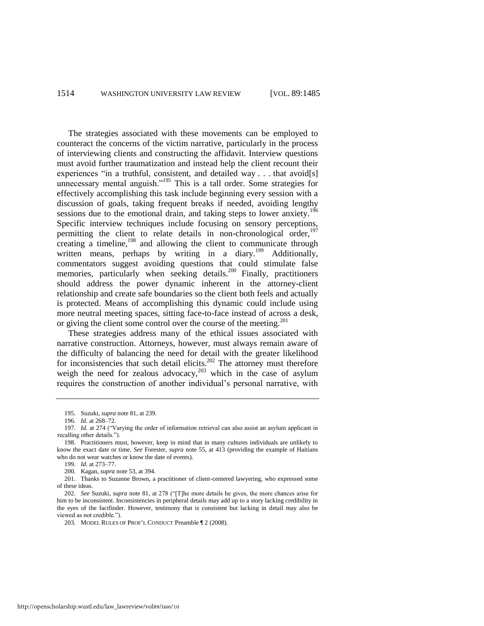The strategies associated with these movements can be employed to counteract the concerns of the victim narrative, particularly in the process of interviewing clients and constructing the affidavit. Interview questions must avoid further traumatization and instead help the client recount their experiences "in a truthful, consistent, and detailed way . . . that avoid[s] unnecessary mental anguish."<sup>195</sup> This is a tall order. Some strategies for effectively accomplishing this task include beginning every session with a discussion of goals, taking frequent breaks if needed, avoiding lengthy sessions due to the emotional drain, and taking steps to lower anxiety.<sup>196</sup> Specific interview techniques include focusing on sensory perceptions, permitting the client to relate details in non-chronological order,<sup>197</sup> creating a timeline,<sup>198</sup> and allowing the client to communicate through written means, perhaps by writing in a diary.<sup>199</sup> Additionally, commentators suggest avoiding questions that could stimulate false memories, particularly when seeking details.<sup>200</sup> Finally, practitioners should address the power dynamic inherent in the attorney-client relationship and create safe boundaries so the client both feels and actually is protected. Means of accomplishing this dynamic could include using more neutral meeting spaces, sitting face-to-face instead of across a desk, or giving the client some control over the course of the meeting.<sup>201</sup>

These strategies address many of the ethical issues associated with narrative construction. Attorneys, however, must always remain aware of the difficulty of balancing the need for detail with the greater likelihood for inconsistencies that such detail elicits.<sup>202</sup> The attorney must therefore weigh the need for zealous advocacy,  $203$  which in the case of asylum requires the construction of another individual's personal narrative, with

<sup>195.</sup> Suzuki, *supra* not[e 81,](#page-12-1) at 239.

<sup>196.</sup> *Id*. at 268–72.

<sup>197.</sup> *Id.* at 274 ("Varying the order of information retrieval can also assist an asylum applicant in recalling other details.").

<sup>198.</sup> Practitioners must, however, keep in mind that in many cultures individuals are unlikely to know the exact date or time. *See* Forester, *supra* not[e 55,](#page-9-1) at 413 (providing the example of Haitians who do not wear watches or know the date of events).

<sup>199.</sup> *Id*. at 273–77.

<sup>200.</sup> Kagan, *supra* not[e 53,](#page-8-2) at 394.

<sup>201.</sup> Thanks to Suzanne Brown, a practitioner of client-centered lawyering, who expressed some of these ideas.

<sup>202.</sup> *See Suzuki, supra* note [81,](#page-12-1) at 278 ("[T]he more details he gives, the more chances arise for him to be inconsistent. Inconsistencies in peripheral details may add up to a story lacking credibility in the eyes of the factfinder. However, testimony that is consistent but lacking in detail may also be viewed as not credible.").

<sup>203.</sup> MODEL RULES OF PROF'L CONDUCT Preamble [2 (2008).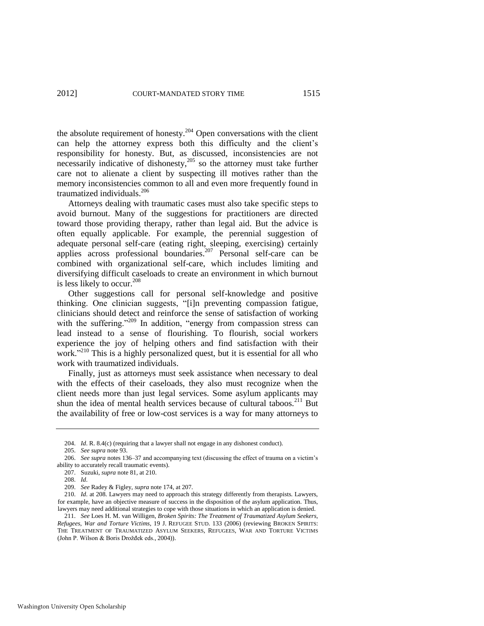the absolute requirement of honesty.<sup>204</sup> Open conversations with the client can help the attorney express both this difficulty and the client's responsibility for honesty. But, as discussed, inconsistencies are not necessarily indicative of dishonesty,<sup>205</sup> so the attorney must take further care not to alienate a client by suspecting ill motives rather than the memory inconsistencies common to all and even more frequently found in traumatized individuals.<sup>206</sup>

Attorneys dealing with traumatic cases must also take specific steps to avoid burnout. Many of the suggestions for practitioners are directed toward those providing therapy, rather than legal aid. But the advice is often equally applicable. For example, the perennial suggestion of adequate personal self-care (eating right, sleeping, exercising) certainly applies across professional boundaries.<sup>207</sup> Personal self-care can be combined with organizational self-care, which includes limiting and diversifying difficult caseloads to create an environment in which burnout is less likely to occur.<sup>208</sup>

Other suggestions call for personal self-knowledge and positive thinking. One clinician suggests, "[i]n preventing compassion fatigue, clinicians should detect and reinforce the sense of satisfaction of working with the suffering."<sup>209</sup> In addition, "energy from compassion stress can lead instead to a sense of flourishing. To flourish, social workers experience the joy of helping others and find satisfaction with their work."<sup>210</sup> This is a highly personalized quest, but it is essential for all who work with traumatized individuals.

Finally, just as attorneys must seek assistance when necessary to deal with the effects of their caseloads, they also must recognize when the client needs more than just legal services. Some asylum applicants may shun the idea of mental health services because of cultural taboos.<sup>211</sup> But the availability of free or low-cost services is a way for many attorneys to

<span id="page-31-0"></span> <sup>204.</sup> *Id*. R. 8.4(c) (requiring that a lawyer shall not engage in any dishonest conduct).

<sup>205.</sup> *See supra* not[e 93.](#page-13-1) 

<sup>206.</sup> *See supra* note[s 136–](#page-20-5)37 and accompanying text (discussing the effect of trauma on a victim's ability to accurately recall traumatic events).

<sup>207.</sup> Suzuki, *supra* not[e 81,](#page-12-1) at 210.

<sup>208.</sup> *Id*.

<sup>209.</sup> *See* Radey & Figley, *supra* not[e 174,](#page-26-0) at 207.

 <sup>210.</sup> *Id*. at 208. Lawyers may need to approach this strategy differently from therapists. Lawyers, for example, have an objective measure of success in the disposition of the asylum application. Thus, lawyers may need additional strategies to cope with those situations in which an application is denied.

<sup>211.</sup> *See* Loes H. M. van Willigen, *Broken Spirits: The Treatment of Traumatized Asylum Seekers, Refugees, War and Torture Victims*, 19 J. REFUGEE STUD. 133 (2006) (reviewing BROKEN SPIRITS: THE TREATMENT OF TRAUMATIZED ASYLUM SEEKERS, REFUGEES, WAR AND TORTURE VICTIMS (John P. Wilson & Boris Drožđek eds., 2004)).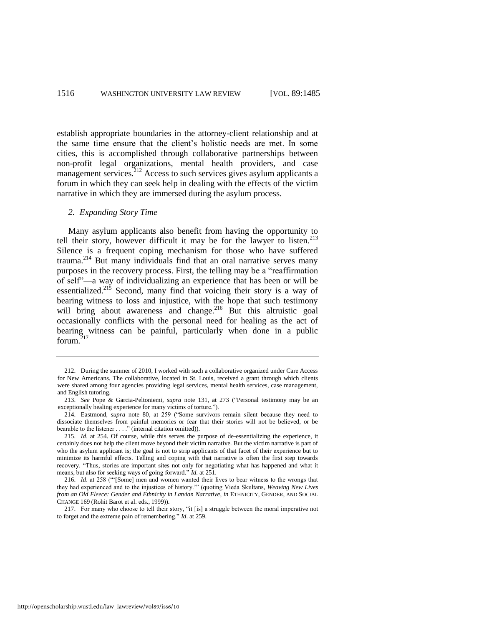establish appropriate boundaries in the attorney-client relationship and at the same time ensure that the client's holistic needs are met. In some cities, this is accomplished through collaborative partnerships between non-profit legal organizations, mental health providers, and case management services. $2^{12}$  Access to such services gives asylum applicants a forum in which they can seek help in dealing with the effects of the victim narrative in which they are immersed during the asylum process.

#### *2. Expanding Story Time*

Many asylum applicants also benefit from having the opportunity to tell their story, however difficult it may be for the lawyer to listen.<sup>213</sup> Silence is a frequent coping mechanism for those who have suffered trauma.<sup>214</sup> But many individuals find that an oral narrative serves many purposes in the recovery process. First, the telling may be a "reaffirmation" of self"—a way of individualizing an experience that has been or will be essentialized.<sup>215</sup> Second, many find that voicing their story is a way of bearing witness to loss and injustice, with the hope that such testimony will bring about awareness and change.<sup>216</sup> But this altruistic goal occasionally conflicts with the personal need for healing as the act of bearing witness can be painful, particularly when done in a public forum. $217$ 

<sup>212.</sup> During the summer of 2010, I worked with such a collaborative organized under Care Access for New Americans. The collaborative, located in St. Louis, received a grant through which clients were shared among four agencies providing legal services, mental health services, case management, and English tutoring.

<sup>213.</sup> *See Pope & Garcia-Peltoniemi, <i>supra* note [131,](#page-19-0) at 273 ("Personal testimony may be an exceptionally healing experience for many victims of torture.").

<sup>214.</sup> Eastmond, *supra* note [80,](#page-12-0) at 259 ("Some survivors remain silent because they need to dissociate themselves from painful memories or fear that their stories will not be believed, or be bearable to the listener  $\dots$ ." (internal citation omitted)).

<sup>215.</sup> *Id*. at 254. Of course, while this serves the purpose of de-essentializing the experience, it certainly does not help the client move beyond their victim narrative. But the victim narrative is part of who the asylum applicant is; the goal is not to strip applicants of that facet of their experience but to minimize its harmful effects. Telling and coping with that narrative is often the first step towards recovery. "Thus, stories are important sites not only for negotiating what has happened and what it means, but also for seeking ways of going forward." *Id.* at 251.

<sup>216.</sup> *Id.* at 258 ("[Some] men and women wanted their lives to bear witness to the wrongs that they had experienced and to the injustices of history."" (quoting Vieda Skultans, *Weaving New Lives from an Old Fleece: Gender and Ethnicity in Latvian Narrative*, *in* ETHNICITY, GENDER, AND SOCIAL CHANGE 169 (Rohit Barot et al. eds., 1999)).

<sup>217.</sup> For many who choose to tell their story, "it [is] a struggle between the moral imperative not to forget and the extreme pain of remembering." *Id.* at 259.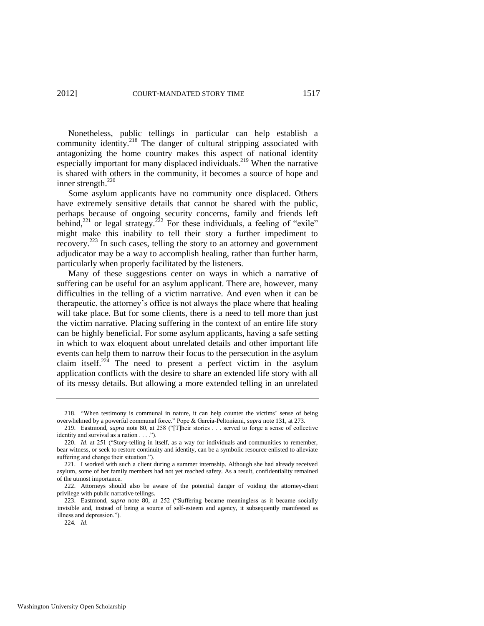Nonetheless, public tellings in particular can help establish a community identity.<sup>218</sup> The danger of cultural stripping associated with antagonizing the home country makes this aspect of national identity especially important for many displaced individuals.<sup>219</sup> When the narrative is shared with others in the community, it becomes a source of hope and inner strength.<sup>220</sup>

Some asylum applicants have no community once displaced. Others have extremely sensitive details that cannot be shared with the public, perhaps because of ongoing security concerns, family and friends left behind,<sup>221</sup> or legal strategy.<sup>222</sup> For these individuals, a feeling of "exile" might make this inability to tell their story a further impediment to recovery.<sup>223</sup> In such cases, telling the story to an attorney and government adjudicator may be a way to accomplish healing, rather than further harm, particularly when properly facilitated by the listeners.

Many of these suggestions center on ways in which a narrative of suffering can be useful for an asylum applicant. There are, however, many difficulties in the telling of a victim narrative. And even when it can be therapeutic, the attorney's office is not always the place where that healing will take place. But for some clients, there is a need to tell more than just the victim narrative. Placing suffering in the context of an entire life story can be highly beneficial. For some asylum applicants, having a safe setting in which to wax eloquent about unrelated details and other important life events can help them to narrow their focus to the persecution in the asylum claim itself.<sup>224</sup> The need to present a perfect victim in the asylum application conflicts with the desire to share an extended life story with all of its messy details. But allowing a more extended telling in an unrelated

<sup>218. ―</sup>When testimony is communal in nature, it can help counter the victims' sense of being overwhelmed by a powerful communal force.‖ Pope & Garcia-Peltoniemi, *supra* not[e 131,](#page-19-0) at 273.

<sup>219.</sup> Eastmond, *supra* not[e 80,](#page-12-0) at 258 ("IT heir stories . . . served to forge a sense of collective identity and survival as a nation  $\dots$ .").

<sup>220.</sup> *Id.* at 251 ("Story-telling in itself, as a way for individuals and communities to remember, bear witness, or seek to restore continuity and identity, can be a symbolic resource enlisted to alleviate suffering and change their situation.").

<sup>221.</sup> I worked with such a client during a summer internship. Although she had already received asylum, some of her family members had not yet reached safety. As a result, confidentiality remained of the utmost importance.

<sup>222.</sup> Attorneys should also be aware of the potential danger of voiding the attorney-client privilege with public narrative tellings.

<sup>223.</sup> Eastmond, *supra* note [80,](#page-12-0) at 252 ("Suffering became meaningless as it became socially invisible and, instead of being a source of self-esteem and agency, it subsequently manifested as illness and depression.").

<sup>224</sup>*. Id*.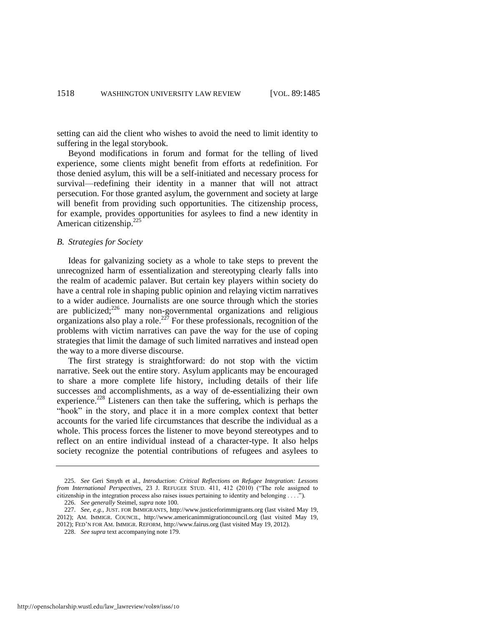setting can aid the client who wishes to avoid the need to limit identity to suffering in the legal storybook.

Beyond modifications in forum and format for the telling of lived experience, some clients might benefit from efforts at redefinition. For those denied asylum, this will be a self-initiated and necessary process for survival—redefining their identity in a manner that will not attract persecution. For those granted asylum, the government and society at large will benefit from providing such opportunities. The citizenship process, for example, provides opportunities for asylees to find a new identity in American citizenship. $^{225}$ 

#### *B. Strategies for Society*

Ideas for galvanizing society as a whole to take steps to prevent the unrecognized harm of essentialization and stereotyping clearly falls into the realm of academic palaver. But certain key players within society do have a central role in shaping public opinion and relaying victim narratives to a wider audience. Journalists are one source through which the stories are publicized;<sup>226</sup> many non-governmental organizations and religious organizations also play a role.<sup>227</sup> For these professionals, recognition of the problems with victim narratives can pave the way for the use of coping strategies that limit the damage of such limited narratives and instead open the way to a more diverse discourse.

The first strategy is straightforward: do not stop with the victim narrative. Seek out the entire story. Asylum applicants may be encouraged to share a more complete life history, including details of their life successes and accomplishments, as a way of de-essentializing their own experience.<sup>228</sup> Listeners can then take the suffering, which is perhaps the "hook" in the story, and place it in a more complex context that better accounts for the varied life circumstances that describe the individual as a whole. This process forces the listener to move beyond stereotypes and to reflect on an entire individual instead of a character-type. It also helps society recognize the potential contributions of refugees and asylees to

<sup>225.</sup> *See* Geri Smyth et al., *Introduction: Critical Reflections on Refugee Integration: Lessons from International Perspectives*, 23 J. REFUGEE STUD. 411, 412 (2010) ("The role assigned to citizenship in the integration process also raises issues pertaining to identity and belonging . . . .<sup>"</sup>).

<sup>226.</sup> *See generally* Steimel, *supra* not[e 100.](#page-14-3)

<sup>227.</sup> *See, e.g.*, JUST. FOR IMMIGRANTS, http://www.justiceforimmigrants.org (last visited May 19, 2012); AM. IMMIGR. COUNCIL, http://www.americanimmigrationcouncil.org (last visited May 19, 2012); FED'N FOR AM. IMMIGR. REFORM, http://www.fairus.org (last visited May 19, 2012).

<sup>228.</sup> *See supra* text accompanying not[e 179.](#page-27-0)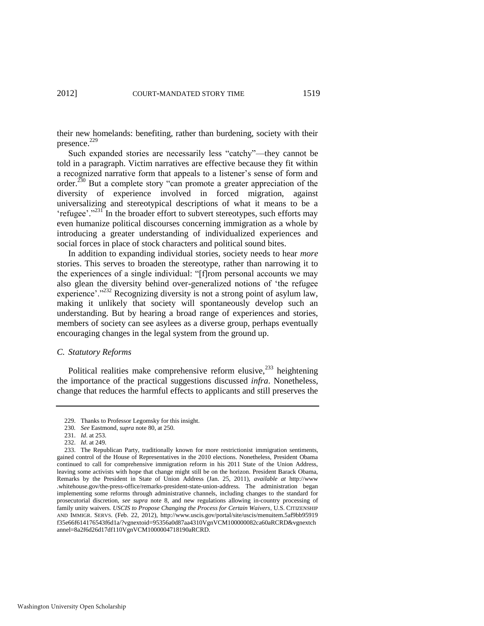their new homelands: benefiting, rather than burdening, society with their presence.<sup>229</sup>

Such expanded stories are necessarily less "catchy"—they cannot be told in a paragraph. Victim narratives are effective because they fit within a recognized narrative form that appeals to a listener's sense of form and order.<sup>230</sup> But a complete story "can promote a greater appreciation of the diversity of experience involved in forced migration, against universalizing and stereotypical descriptions of what it means to be a 'refugee'."<sup>231</sup> In the broader effort to subvert stereotypes, such efforts may even humanize political discourses concerning immigration as a whole by introducing a greater understanding of individualized experiences and social forces in place of stock characters and political sound bites.

In addition to expanding individual stories, society needs to hear *more* stories. This serves to broaden the stereotype, rather than narrowing it to the experiences of a single individual: "[f]rom personal accounts we may also glean the diversity behind over-generalized notions of 'the refugee experience'.<sup>3232</sup> Recognizing diversity is not a strong point of asylum law, making it unlikely that society will spontaneously develop such an understanding. But by hearing a broad range of experiences and stories, members of society can see asylees as a diverse group, perhaps eventually encouraging changes in the legal system from the ground up.

#### *C. Statutory Reforms*

Political realities make comprehensive reform elusive, $^{233}$  heightening the importance of the practical suggestions discussed *infra*. Nonetheless, change that reduces the harmful effects to applicants and still preserves the

<sup>229.</sup> Thanks to Professor Legomsky for this insight.

<sup>230</sup>*. See* Eastmond, *supra* not[e 80,](#page-12-0) at 250.

<sup>231.</sup> *Id*. at 253.

<sup>232.</sup> *Id*. at 249.

<sup>233.</sup> The Republican Party, traditionally known for more restrictionist immigration sentiments, gained control of the House of Representatives in the 2010 elections. Nonetheless, President Obama continued to call for comprehensive immigration reform in his 2011 State of the Union Address, leaving some activists with hope that change might still be on the horizon. President Barack Obama, Remarks by the President in State of Union Address (Jan. 25, 2011), *available at* http://www .whitehouse.gov/the-press-office/remarks-president-state-union-address*.* The administration began implementing some reforms through administrative channels, including changes to the standard for prosecutorial discretion, *see supra* note [8,](#page-1-1) and new regulations allowing in-country processing of family unity waivers. *USCIS to Propose Changing the Process for Certain Waivers*, U.S. CITIZENSHIP AND IMMIGR. SERVS. (Feb. 22, 2012), http://www.uscis.gov/portal/site/uscis/menuitem.5af9bb95919 f35e66f614176543f6d1a/?vgnextoid=95356a0d87aa4310VgnVCM100000082ca60aRCRD&vgnextch annel=8a2f6d26d17df110VgnVCM1000004718190aRCRD*.*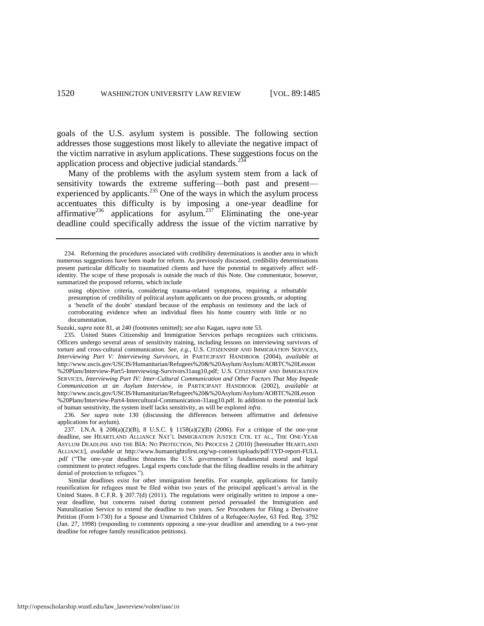goals of the U.S. asylum system is possible. The following section addresses those suggestions most likely to alleviate the negative impact of the victim narrative in asylum applications. These suggestions focus on the application process and objective judicial standards.<sup>234</sup>

<span id="page-36-0"></span>Many of the problems with the asylum system stem from a lack of sensitivity towards the extreme suffering—both past and present experienced by applicants. $^{235}$  One of the ways in which the asylum process accentuates this difficulty is by imposing a one-year deadline for affirmative<sup>236</sup> applications for asylum.<sup>237</sup> Eliminating the one-year deadline could specifically address the issue of the victim narrative by

Suzuki, *supra* not[e 81,](#page-12-1) at 240 (footnotes omitted); *see also* Kagan, *supra* not[e 53.](#page-8-2)

<sup>234.</sup> Reforming the procedures associated with credibility determinations is another area in which numerous suggestions have been made for reform. As previously discussed, credibility determinations present particular difficulty to traumatized clients and have the potential to negatively affect selfidentity. The scope of these proposals is outside the reach of this Note. One commentator, however, summarized the proposed reforms, which include

using objective criteria, considering trauma-related symptoms, requiring a rebuttable presumption of credibility of political asylum applicants on due process grounds, or adopting a 'benefit of the doubt' standard because of the emphasis on testimony and the lack of corroborating evidence when an individual flees his home country with little or no documentation.

<sup>235.</sup> United States Citizenship and Immigration Services perhaps recognizes such criticisms. Officers undergo several areas of sensitivity training, including lessons on interviewing survivors of torture and cross-cultural communication. *See, e.g.*, U.S. CITIZENSHIP AND IMMIGRATION SERVICES, *Interviewing Part V: Interviewing Survivors*, *in* PARTICIPANT HANDBOOK (2004), *available at* http://www.uscis.gov/USCIS/Humanitarian/Refugees%20&%20Asylum/Asylum/AOBTC%20Lesson %20Plans/Interview-Part5-Interviewing-Survivors31aug10.pdf; U.S. CITIZENSHIP AND IMMIGRATION SERVICES, *Interviewing Part IV: Inter-Cultural Communication and Other Factors That May Impede Communication at an Asylum Interview*, *in* PARTICIPANT HANDBOOK (2002), *available at* http://www.uscis.gov/USCIS/Humanitarian/Refugees%20&%20Asylum/Asylum/AOBTC%20Lesson %20Plans/Interview-Part4-Intercultural-Communication-31aug10.pdf. In addition to the potential lack of human sensitivity, the system itself lacks sensitivity, as will be explored *infra*.

<sup>236.</sup> *See supra* note [130](#page-19-1) (discussing the differences between affirmative and defensive applications for asylum).

<sup>237.</sup> I.N.A. § 208(a)(2)(B), 8 U.S.C. § 1158(a)(2)(B) (2006). For a critique of the one-year deadline, see HEARTLAND ALLIANCE NAT'L IMMIGRATION JUSTICE CTR. ET AL., THE ONE-YEAR ASYLUM DEADLINE AND THE BIA: NO PROTECTION, NO PROCESS 2 (2010) [hereinafter HEARTLAND ALLIANCE], *available at* http://www.humanrightsfirst.org/wp-content/uploads/pdf/1YD-report-FULL .pdf ("The one-year deadline threatens the U.S. government's fundamental moral and legal commitment to protect refugees. Legal experts conclude that the filing deadline results in the arbitrary denial of protection to refugees.").

Similar deadlines exist for other immigration benefits. For example, applications for family reunification for refugees must be filed within two years of the principal applicant's arrival in the United States. 8 C.F.R. § 207.7(d) (2011). The regulations were originally written to impose a oneyear deadline, but concerns raised during comment period persuaded the Immigration and Naturalization Service to extend the deadline to two years. *See* Procedures for Filing a Derivative Petition (Form I-730) for a Spouse and Unmarried Children of a Refugee/Asylee, 63 Fed. Reg. 3792 (Jan. 27, 1998) (responding to comments opposing a one-year deadline and amending to a two-year deadline for refugee family reunification petitions).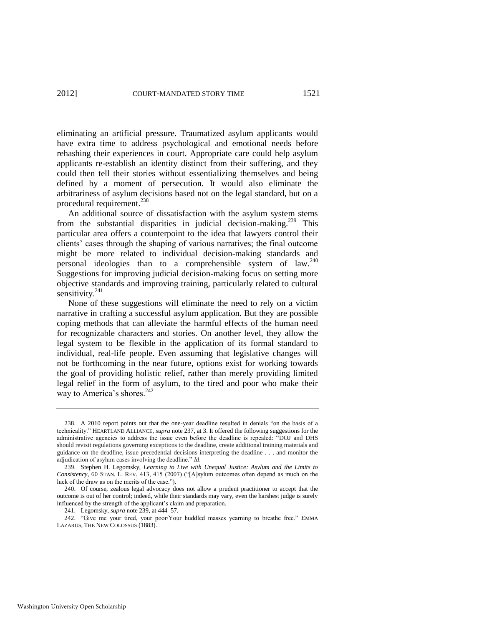eliminating an artificial pressure. Traumatized asylum applicants would have extra time to address psychological and emotional needs before rehashing their experiences in court. Appropriate care could help asylum applicants re-establish an identity distinct from their suffering, and they could then tell their stories without essentializing themselves and being defined by a moment of persecution. It would also eliminate the arbitrariness of asylum decisions based not on the legal standard, but on a procedural requirement.<sup>238</sup>

<span id="page-37-0"></span>An additional source of dissatisfaction with the asylum system stems from the substantial disparities in judicial decision-making.<sup>239</sup> This particular area offers a counterpoint to the idea that lawyers control their clients' cases through the shaping of various narratives; the final outcome might be more related to individual decision-making standards and personal ideologies than to a comprehensible system of law.<sup>240</sup> Suggestions for improving judicial decision-making focus on setting more objective standards and improving training, particularly related to cultural sensitivity.<sup>241</sup>

None of these suggestions will eliminate the need to rely on a victim narrative in crafting a successful asylum application. But they are possible coping methods that can alleviate the harmful effects of the human need for recognizable characters and stories. On another level, they allow the legal system to be flexible in the application of its formal standard to individual, real-life people. Even assuming that legislative changes will not be forthcoming in the near future, options exist for working towards the goal of providing holistic relief, rather than merely providing limited legal relief in the form of asylum, to the tired and poor who make their way to America's shores.<sup>242</sup>

241. Legomsky, *supra* not[e 239,](#page-37-0) at 444–57.

<sup>238.</sup> A 2010 report points out that the one-year deadline resulted in denials "on the basis of a technicality.‖ HEARTLAND ALLIANCE, *supra* not[e 237,](#page-36-0) at 3. It offered the following suggestions for the administrative agencies to address the issue even before the deadline is repealed: "DOJ and DHS should revisit regulations governing exceptions to the deadline, create additional training materials and guidance on the deadline, issue precedential decisions interpreting the deadline . . . and monitor the adjudication of asylum cases involving the deadline." *Id*.

<sup>239.</sup> Stephen H. Legomsky, *Learning to Live with Unequal Justice: Asylum and the Limits to Consistency*, 60 STAN. L. REV. 413, 415 (2007) ("[A]sylum outcomes often depend as much on the luck of the draw as on the merits of the case.").

<sup>240.</sup> Of course, zealous legal advocacy does not allow a prudent practitioner to accept that the outcome is out of her control; indeed, while their standards may vary, even the harshest judge is surely influenced by the strength of the applicant's claim and preparation.

<sup>242. &</sup>quot;Give me your tired, your poor/Your huddled masses yearning to breathe free." EMMA LAZARUS, THE NEW COLOSSUS (1883).